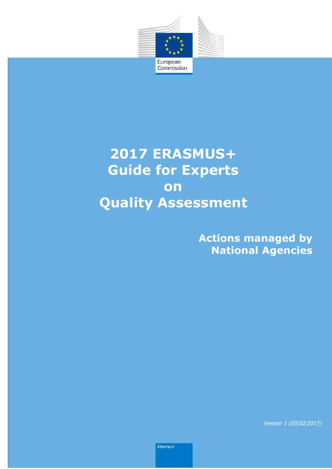

l

# **2017 ERASMUS+ Guide for Experts on Quality Assessment**

**Actions managed by National Agencies**

Version 1 (03/02/2017)

Erasmus+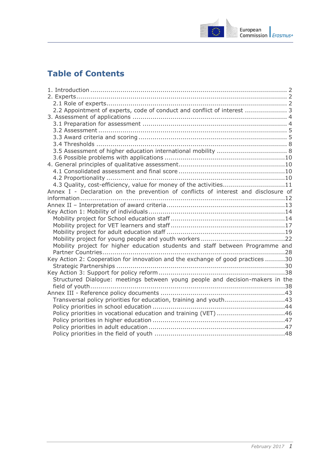

## **Table of Contents**

| 2.2 Appointment of experts, code of conduct and conflict of interest  3            |
|------------------------------------------------------------------------------------|
|                                                                                    |
|                                                                                    |
|                                                                                    |
|                                                                                    |
|                                                                                    |
|                                                                                    |
|                                                                                    |
|                                                                                    |
|                                                                                    |
|                                                                                    |
| 4.3 Quality, cost-efficiency, value for money of the activities11                  |
| Annex I - Declaration on the prevention of conflicts of interest and disclosure of |
|                                                                                    |
|                                                                                    |
|                                                                                    |
|                                                                                    |
|                                                                                    |
|                                                                                    |
|                                                                                    |
| Mobility project for higher education students and staff between Programme and     |
|                                                                                    |
| Key Action 2: Cooperation for innovation and the exchange of good practices 30     |
|                                                                                    |
|                                                                                    |
| Structured Dialogue: meetings between young people and decision-makers in the      |
|                                                                                    |
|                                                                                    |
| Transversal policy priorities for education, training and youth43                  |
|                                                                                    |
| Policy priorities in vocational education and training (VET) 46                    |
|                                                                                    |
|                                                                                    |
|                                                                                    |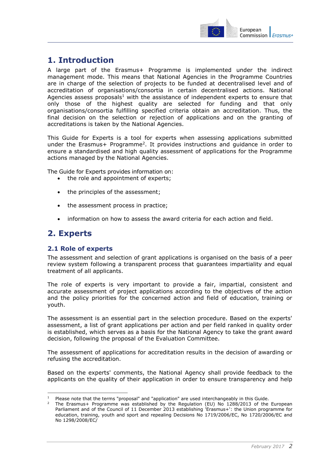

## <span id="page-2-0"></span>**1. Introduction**

A large part of the Erasmus+ Programme is implemented under the indirect management mode. This means that National Agencies in the Programme Countries are in charge of the selection of projects to be funded at decentralised level and of accreditation of organisations/consortia in certain decentralised actions. National Agencies assess proposals<sup>1</sup> with the assistance of independent experts to ensure that only those of the highest quality are selected for funding and that only organisations/consortia fulfilling specified criteria obtain an accreditation. Thus, the final decision on the selection or rejection of applications and on the granting of accreditations is taken by the National Agencies.

This Guide for Experts is a tool for experts when assessing applications submitted under the Erasmus+ Programme<sup>2</sup>. It provides instructions and guidance in order to ensure a standardised and high quality assessment of applications for the Programme actions managed by the National Agencies.

The Guide for Experts provides information on:

- the role and appointment of experts;
- the principles of the assessment;
- the assessment process in practice;
- information on how to assess the award criteria for each action and field.

### <span id="page-2-1"></span>**2. Experts**

-

### <span id="page-2-2"></span>**2.1 Role of experts**

The assessment and selection of grant applications is organised on the basis of a peer review system following a transparent process that guarantees impartiality and equal treatment of all applicants.

The role of experts is very important to provide a fair, impartial, consistent and accurate assessment of project applications according to the objectives of the action and the policy priorities for the concerned action and field of education, training or youth.

The assessment is an essential part in the selection procedure. Based on the experts' assessment, a list of grant applications per action and per field ranked in quality order is established, which serves as a basis for the National Agency to take the grant award decision, following the proposal of the Evaluation Committee.

The assessment of applications for accreditation results in the decision of awarding or refusing the accreditation.

Based on the experts' comments, the National Agency shall provide feedback to the applicants on the quality of their application in order to ensure transparency and help

Please note that the terms "proposal" and "application" are used interchangeably in this Guide.

The Erasmus+ Programme was established by the Regulation (EU) No 1288/2013 of the European Parliament and of the Council of 11 December 2013 establishing 'Erasmus+': the Union programme for education, training, youth and sport and repealing Decisions No 1719/2006/EC, No 1720/2006/EC and No 1298/2008/EC/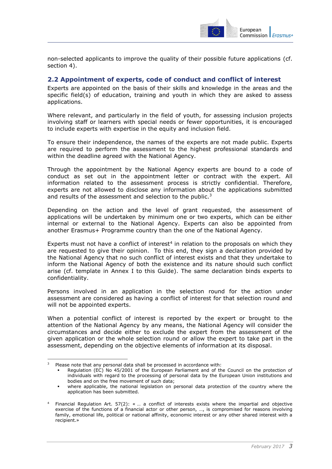

non-selected applicants to improve the quality of their possible future applications (cf. section 4).

#### <span id="page-3-0"></span>**2.2 Appointment of experts, code of conduct and conflict of interest**

Experts are appointed on the basis of their skills and knowledge in the areas and the specific field(s) of education, training and youth in which they are asked to assess applications.

Where relevant, and particularly in the field of youth, for assessing inclusion projects involving staff or learners with special needs or fewer opportunities, it is encouraged to include experts with expertise in the equity and inclusion field.

To ensure their independence, the names of the experts are not made public. Experts are required to perform the assessment to the highest professional standards and within the deadline agreed with the National Agency.

Through the appointment by the National Agency experts are bound to a code of conduct as set out in the appointment letter or contract with the expert. All information related to the assessment process is strictly confidential. Therefore, experts are not allowed to disclose any information about the applications submitted and results of the assessment and selection to the public.<sup>3</sup>

Depending on the action and the level of grant requested, the assessment of applications will be undertaken by minimum one or two experts, which can be either internal or external to the National Agency. Experts can also be appointed from another Erasmus+ Programme country than the one of the National Agency.

Experts must not have a conflict of interest $4$  in relation to the proposals on which they are requested to give their opinion. To this end, they sign a declaration provided by the National Agency that no such conflict of interest exists and that they undertake to inform the National Agency of both the existence and its nature should such conflict arise (cf. template in Annex I to this Guide). The same declaration binds experts to confidentiality.

Persons involved in an application in the selection round for the action under assessment are considered as having a conflict of interest for that selection round and will not be appointed experts.

When a potential conflict of interest is reported by the expert or brought to the attention of the National Agency by any means, the National Agency will consider the circumstances and decide either to exclude the expert from the assessment of the given application or the whole selection round or allow the expert to take part in the assessment, depending on the objective elements of information at its disposal.

<sup>-</sup><sup>3</sup> Please note that any personal data shall be processed in accordance with:

Regulation (EC) No 45/2001 of the European Parliament and of the Council on the protection of individuals with regard to the processing of personal data by the European Union institutions and bodies and on the free movement of such data;

where applicable, the national legislation on personal data protection of the country where the application has been submitted.

<sup>4</sup> Financial Regulation Art. 57(2): « … a conflict of interests exists where the impartial and objective exercise of the functions of a financial actor or other person, …, is compromised for reasons involving family, emotional life, political or national affinity, economic interest or any other shared interest with a recipient.»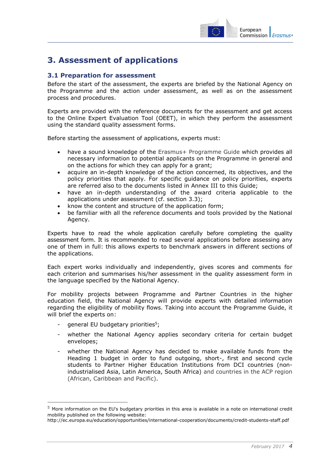

## <span id="page-4-0"></span>**3. Assessment of applications**

### <span id="page-4-1"></span>**3.1 Preparation for assessment**

Before the start of the assessment, the experts are briefed by the National Agency on the Programme and the action under assessment, as well as on the assessment process and procedures.

Experts are provided with the reference documents for the assessment and get access to the Online Expert Evaluation Tool (OEET), in which they perform the assessment using the standard quality assessment forms.

Before starting the assessment of applications, experts must:

- have a sound knowledge of the [Erasmus+ Programme Guide](http://ec.europa.eu/programmes/erasmus-plus/documents/erasmus-plus-programme-guide_en.pdf) which provides all necessary information to potential applicants on the Programme in general and on the actions for which they can apply for a grant;
- acquire an in-depth knowledge of the action concerned, its objectives, and the policy priorities that apply. For specific guidance on policy priorities, experts are referred also to the documents listed in Annex III to this Guide;
- have an in-depth understanding of the award criteria applicable to the applications under assessment (cf. section 3.3);
- know the content and structure of the application form;
- be familiar with all the reference documents and tools provided by the National Agency.

Experts have to read the whole application carefully before completing the quality assessment form. It is recommended to read several applications before assessing any one of them in full: this allows experts to benchmark answers in different sections of the applications.

Each expert works individually and independently, gives scores and comments for each criterion and summarises his/her assessment in the quality assessment form in the language specified by the National Agency.

For mobility projects between Programme and Partner Countries in the higher education field, the National Agency will provide experts with detailed information regarding the eligibility of mobility flows. Taking into account the Programme Guide, it will brief the experts on:

- general EU budgetary priorities<sup>5</sup>;

-

- whether the National Agency applies secondary criteria for certain budget envelopes;
- whether the National Agency has decided to make available funds from the Heading 1 budget in order to fund outgoing, short-, first and second cycle students to Partner Higher Education Institutions from DCI countries (nonindustrialised Asia, Latin America, South Africa) and countries in the ACP region (African, Caribbean and Pacific).

<sup>5</sup> More information on the EU's budgetary priorities in this area is available in a note on international credit mobility published on the following website:

<http://ec.europa.eu/education/opportunities/international-cooperation/documents/credit-students-staff.pdf>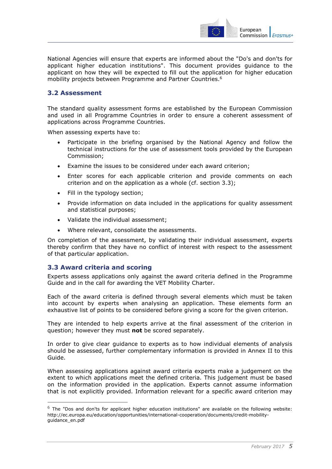

National Agencies will ensure that experts are informed about the ["Do's](http://ec.europa.eu/programmes/erasmus-plus/discover/guide/documents-applicants_en.htm) and don'ts for applicant higher education institutions". This document provides guidance to the applicant on how they will be expected to fill out the application for higher education mobility projects between Programme and Partner Countries. 6

### <span id="page-5-0"></span>**3.2 Assessment**

The standard quality assessment forms are established by the European Commission and used in all Programme Countries in order to ensure a coherent assessment of applications across Programme Countries.

When assessing experts have to:

- Participate in the briefing organised by the National Agency and follow the technical instructions for the use of assessment tools provided by the European Commission;
- Examine the issues to be considered under each award criterion;
- Enter scores for each applicable criterion and provide comments on each criterion and on the application as a whole (cf. section 3.3);
- Fill in the typology section;
- Provide information on data included in the applications for quality assessment and statistical purposes;
- Validate the individual assessment;
- Where relevant, consolidate the assessments.

On completion of the assessment, by validating their individual assessment, experts thereby confirm that they have no conflict of interest with respect to the assessment of that particular application.

### <span id="page-5-1"></span>**3.3 Award criteria and scoring**

-

Experts assess applications only against the award criteria defined in the [Programme](http://ec.europa.eu/programmes/erasmus-plus/documents/erasmus-plus-programme-guide_en.pdf)  [Guide](http://ec.europa.eu/programmes/erasmus-plus/documents/erasmus-plus-programme-guide_en.pdf) and in the call for awarding the VET Mobility Charter.

Each of the award criteria is defined through several elements which must be taken into account by experts when analysing an application. These elements form an exhaustive list of points to be considered before giving a score for the given criterion.

They are intended to help experts arrive at the final assessment of the criterion in question; however they must **not** be scored separately.

In order to give clear guidance to experts as to how individual elements of analysis should be assessed, further complementary information is provided in Annex II to this Guide.

When assessing applications against award criteria experts make a judgement on the extent to which applications meet the defined criteria. This judgement must be based on the information provided in the application. Experts cannot assume information that is not explicitly provided. Information relevant for a specific award criterion may

 $6$  The "Dos and don'ts for applicant higher education institutions" are available on the following website: http://ec.europa.eu/education/opportunities/international-cooperation/documents/credit-mobilityguidance\_en.pdf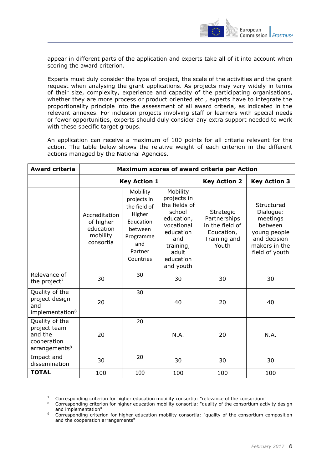

appear in different parts of the application and experts take all of it into account when scoring the award criterion.

Experts must duly consider the type of project, the scale of the activities and the grant request when analysing the grant applications. As projects may vary widely in terms of their size, complexity, experience and capacity of the participating organisations, whether they are more process or product oriented etc., experts have to integrate the proportionality principle into the assessment of all award criteria, as indicated in the relevant annexes. For inclusion projects involving staff or learners with special needs or fewer opportunities, experts should duly consider any extra support needed to work with these specific target groups.

An application can receive a maximum of 100 points for all criteria relevant for the action. The table below shows the relative weight of each criterion in the different actions managed by the National Agencies.

| <b>Award criteria</b>                                                                 | Maximum scores of award criteria per Action                      |                                                                                                                       |                                                                                                                                                    |                                                                                     |                                                                                                                   |
|---------------------------------------------------------------------------------------|------------------------------------------------------------------|-----------------------------------------------------------------------------------------------------------------------|----------------------------------------------------------------------------------------------------------------------------------------------------|-------------------------------------------------------------------------------------|-------------------------------------------------------------------------------------------------------------------|
|                                                                                       | <b>Key Action 1</b>                                              |                                                                                                                       |                                                                                                                                                    | <b>Key Action 2</b>                                                                 | <b>Key Action 3</b>                                                                                               |
|                                                                                       | Accreditation<br>of higher<br>education<br>mobility<br>consortia | Mobility<br>projects in<br>the field of<br>Higher<br>Education<br>between<br>Programme<br>and<br>Partner<br>Countries | Mobility<br>projects in<br>the fields of<br>school<br>education,<br>vocational<br>education<br>and<br>training,<br>adult<br>education<br>and youth | Strategic<br>Partnerships<br>in the field of<br>Education,<br>Training and<br>Youth | Structured<br>Dialogue:<br>meetings<br>between<br>young people<br>and decision<br>makers in the<br>field of youth |
| Relevance of<br>the project <sup>7</sup>                                              | 30                                                               | 30                                                                                                                    | 30                                                                                                                                                 | 30                                                                                  | 30                                                                                                                |
| Quality of the<br>project design<br>and<br>implementation <sup>8</sup>                | 20                                                               | 30                                                                                                                    | 40                                                                                                                                                 | 20                                                                                  | 40                                                                                                                |
| Quality of the<br>project team<br>and the<br>cooperation<br>arrangements <sup>9</sup> | 20                                                               | 20                                                                                                                    | N.A.                                                                                                                                               | 20                                                                                  | N.A.                                                                                                              |
| Impact and<br>dissemination                                                           | 30                                                               | 20                                                                                                                    | 30                                                                                                                                                 | 30                                                                                  | 30                                                                                                                |
| <b>TOTAL</b>                                                                          | 100                                                              | 100                                                                                                                   | 100                                                                                                                                                | 100                                                                                 | 100                                                                                                               |

<sup>&</sup>lt;sup>7</sup> Corresponding criterion for higher education mobility consortia: "relevance of the consortium"

-

<sup>8</sup> Corresponding criterion for higher education mobility consortia: "quality of the consortium activity design and implementation"

end impromements. and the cooperation arrangements"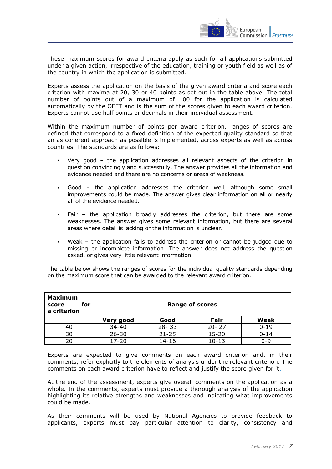

These maximum scores for award criteria apply as such for all applications submitted under a given action, irrespective of the education, training or youth field as well as of the country in which the application is submitted.

Experts assess the application on the basis of the given award criteria and score each criterion with maxima at 20, 30 or 40 points as set out in the table above. The total number of points out of a maximum of 100 for the application is calculated automatically by the OEET and is the sum of the scores given to each award criterion. Experts cannot use half points or decimals in their individual assessment.

Within the maximum number of points per award criterion, ranges of scores are defined that correspond to a fixed definition of the expected quality standard so that an as coherent approach as possible is implemented, across experts as well as across countries. The standards are as follows:

- Very good the application addresses all relevant aspects of the criterion in question convincingly and successfully. The answer provides all the information and evidence needed and there are no concerns or areas of weakness.
- Good the application addresses the criterion well, although some small improvements could be made. The answer gives clear information on all or nearly all of the evidence needed.
- Fair the application broadly addresses the criterion, but there are some weaknesses. The answer gives some relevant information, but there are several areas where detail is lacking or the information is unclear.
- Weak the application fails to address the criterion or cannot be judged due to missing or incomplete information. The answer does not address the question asked, or gives very little relevant information.

The table below shows the ranges of scores for the individual quality standards depending on the maximum score that can be awarded to the relevant award criterion.

| <b>Maximum</b><br>for<br>score<br>a criterion | <b>Range of scores</b> |           |           |             |
|-----------------------------------------------|------------------------|-----------|-----------|-------------|
|                                               | Very good              | Good      | Fair      | <b>Weak</b> |
| 40                                            | $34 - 40$              | $28 - 33$ | $20 - 27$ | $0 - 19$    |
| 30                                            | $26 - 30$              | $21 - 25$ | $15 - 20$ | $0 - 14$    |
|                                               | $17 - 20$              | $14 - 16$ | $10 - 13$ | $0 - 9$     |

Experts are expected to give comments on each award criterion and, in their comments, refer explicitly to the elements of analysis under the relevant criterion. The comments on each award criterion have to reflect and justify the score given for it.

At the end of the assessment, experts give overall comments on the application as a whole. In the comments, experts must provide a thorough analysis of the application highlighting its relative strengths and weaknesses and indicating what improvements could be made.

As their comments will be used by National Agencies to provide feedback to applicants, experts must pay particular attention to clarity, consistency and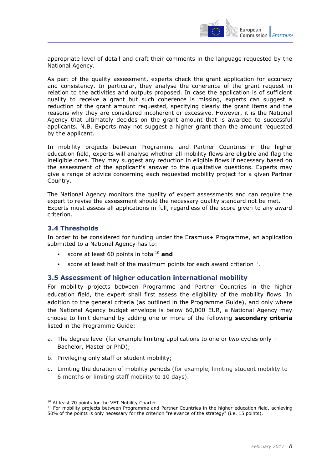

appropriate level of detail and draft their comments in the language requested by the National Agency.

As part of the quality assessment, experts check the grant application for accuracy and consistency. In particular, they analyse the coherence of the grant request in relation to the activities and outputs proposed. In case the application is of sufficient quality to receive a grant but such coherence is missing, experts can suggest a reduction of the grant amount requested, specifying clearly the grant items and the reasons why they are considered incoherent or excessive. However, it is the National Agency that ultimately decides on the grant amount that is awarded to successful applicants. N.B. Experts may not suggest a higher grant than the amount requested by the applicant.

In mobility projects between Programme and Partner Countries in the higher education field, experts will analyse whether all mobility flows are eligible and flag the ineligible ones. They may suggest any reduction in eligible flows if necessary based on the assessment of the applicant's answer to the qualitative questions. Experts may give a range of advice concerning each requested mobility project for a given Partner Country.

The National Agency monitors the quality of expert assessments and can require the expert to revise the assessment should the necessary quality standard not be met. Experts must assess all applications in full, regardless of the score given to any award criterion.

### <span id="page-8-0"></span>**3.4 Thresholds**

In order to be considered for funding under the Erasmus+ Programme, an application submitted to a National Agency has to:

- score at least 60 points in total<sup>10</sup> **and**
- score at least half of the maximum points for each award criterion $11$ .

### <span id="page-8-1"></span>**3.5 Assessment of higher education international mobility**

For mobility projects between Programme and Partner Countries in the higher education field, the expert shall first assess the eligibility of the mobility flows. In addition to the general criteria (as outlined in the Programme Guide), and only where the National Agency budget envelope is below 60,000 EUR, a National Agency may choose to limit demand by adding one or more of the following **secondary criteria** listed in the Programme Guide:

- a. The degree level (for example limiting applications to one or two cycles only Bachelor, Master or PhD);
- b. Privileging only staff or student mobility;
- c. Limiting the duration of mobility periods (for example, limiting student mobility to 6 months or limiting staff mobility to 10 days).

<sup>-</sup><sup>10</sup> At least 70 points for the VET Mobility Charter.

 $11$  For mobility projects between Programme and Partner Countries in the higher education field, achieving 50% of the points is only necessary for the criterion "relevance of the strategy" (i.e. 15 points).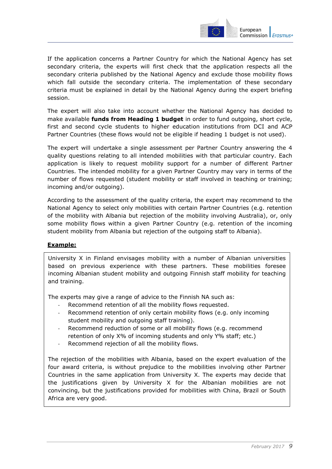

If the application concerns a Partner Country for which the National Agency has set secondary criteria, the experts will first check that the application respects all the secondary criteria published by the National Agency and exclude those mobility flows which fall outside the secondary criteria. The implementation of these secondary criteria must be explained in detail by the National Agency during the expert briefing session.

The expert will also take into account whether the National Agency has decided to make available **funds from Heading 1 budget** in order to fund outgoing, short cycle, first and second cycle students to higher education institutions from DCI and ACP Partner Countries (these flows would not be eligible if heading 1 budget is not used).

The expert will undertake a single assessment per Partner Country answering the 4 quality questions relating to all intended mobilities with that particular country. Each application is likely to request mobility support for a number of different Partner Countries. The intended mobility for a given Partner Country may vary in terms of the number of flows requested (student mobility or staff involved in teaching or training; incoming and/or outgoing).

According to the assessment of the quality criteria, the expert may recommend to the National Agency to select only mobilities with certain Partner Countries (e.g. retention of the mobility with Albania but rejection of the mobility involving Australia), or, only some mobility flows within a given Partner Country (e.g. retention of the incoming student mobility from Albania but rejection of the outgoing staff to Albania).

### **Example:**

University X in Finland envisages mobility with a number of Albanian universities based on previous experience with these partners. These mobilities foresee incoming Albanian student mobility and outgoing Finnish staff mobility for teaching and training.

The experts may give a range of advice to the Finnish NA such as:

- Recommend retention of all the mobility flows requested.
- Recommend retention of only certain mobility flows (e.g. only incoming student mobility and outgoing staff training).
- Recommend reduction of some or all mobility flows (e.g. recommend retention of only X% of incoming students and only Y% staff; etc.)
- Recommend rejection of all the mobility flows.

The rejection of the mobilities with Albania, based on the expert evaluation of the four award criteria, is without prejudice to the mobilities involving other Partner Countries in the same application from University X. The experts may decide that the justifications given by University X for the Albanian mobilities are not convincing, but the justifications provided for mobilities with China, Brazil or South Africa are very good.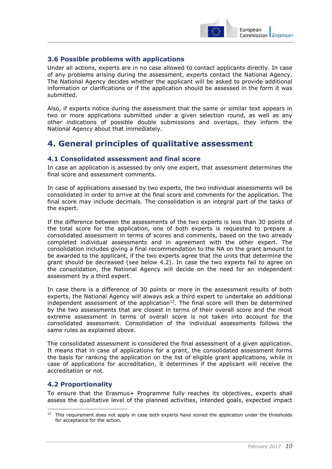

### <span id="page-10-0"></span>**3.6 Possible problems with applications**

Under all actions, experts are in no case allowed to contact applicants directly. In case of any problems arising during the assessment, experts contact the National Agency. The National Agency decides whether the applicant will be asked to provide additional information or clarifications or if the application should be assessed in the form it was submitted.

Also, if experts notice during the assessment that the same or similar text appears in two or more applications submitted under a given selection round, as well as any other indications of possible double submissions and overlaps, they inform the National Agency about that immediately.

### <span id="page-10-1"></span>**4. General principles of qualitative assessment**

#### <span id="page-10-2"></span>**4.1 Consolidated assessment and final score**

In case an application is assessed by only one expert, that assessment determines the final score and assessment comments.

In case of applications assessed by two experts, the two individual assessments will be consolidated in order to arrive at the final score and comments for the application. The final score may include decimals. The consolidation is an integral part of the tasks of the expert.

If the difference between the assessments of the two experts is less than 30 points of the total score for the application, one of both experts is requested to prepare a consolidated assessment in terms of scores and comments, based on the two already completed individual assessments and in agreement with the other expert. The consolidation includes giving a final recommendation to the NA on the grant amount to be awarded to the applicant, if the two experts agree that the units that determine the grant should be decreased (see below 4.2). In case the two experts fail to agree on the consolidation, the National Agency will decide on the need for an independent assessment by a third expert.

In case there is a difference of 30 points or more in the assessment results of both experts, the National Agency will always ask a third expert to undertake an additional  $independent assessment of the application<sup>12</sup>. The final score will then be determined$ by the two assessments that are closest in terms of their overall score and the most extreme assessment in terms of overall score is not taken into account for the consolidated assessment. Consolidation of the individual assessments follows the same rules as explained above.

The consolidated assessment is considered the final assessment of a given application. It means that in case of applications for a grant, the consolidated assessment forms the basis for ranking the application on the list of eligible grant applications, while in case of applications for accreditation, it determines if the applicant will receive the accreditation or not.

### <span id="page-10-3"></span>**4.2 Proportionality**

-

To ensure that the Erasmus+ Programme fully reaches its objectives, experts shall assess the qualitative level of the planned activities, intended goals, expected impact

<sup>&</sup>lt;sup>12</sup> This requirement does not apply in case both experts have scored the application under the thresholds for acceptance for the action.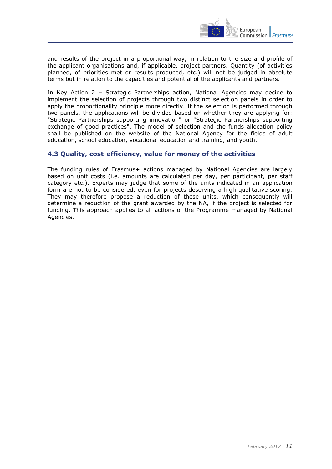

and results of the project in a proportional way, in relation to the size and profile of the applicant organisations and, if applicable, project partners. Quantity (of activities planned, of priorities met or results produced, etc.) will not be judged in absolute terms but in relation to the capacities and potential of the applicants and partners.

In Key Action 2 – Strategic Partnerships action, National Agencies may decide to implement the selection of projects through two distinct selection panels in order to apply the proportionality principle more directly. If the selection is performed through two panels, the applications will be divided based on whether they are applying for: "Strategic Partnerships supporting innovation" or "Strategic Partnerships supporting exchange of good practices". The model of selection and the funds allocation policy shall be published on the website of the National Agency for the fields of adult education, school education, vocational education and training, and youth.

### <span id="page-11-0"></span>**4.3 Quality, cost-efficiency, value for money of the activities**

The funding rules of Erasmus+ actions managed by National Agencies are largely based on unit costs (i.e. amounts are calculated per day, per participant, per staff category etc.). Experts may judge that some of the units indicated in an application form are not to be considered, even for projects deserving a high qualitative scoring. They may therefore propose a reduction of these units, which consequently will determine a reduction of the grant awarded by the NA, if the project is selected for funding. This approach applies to all actions of the Programme managed by National Agencies.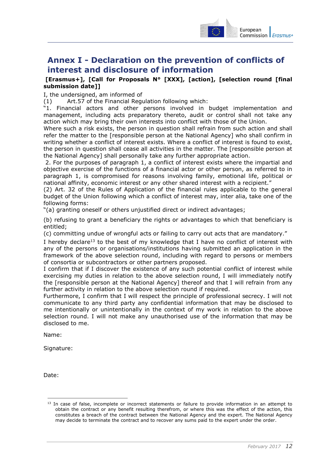

## <span id="page-12-0"></span>**Annex I - Declaration on the prevention of conflicts of interest and disclosure of information**

### **[Erasmus+], [Call for Proposals N° [XXX], [action], [selection round [final submission date]]**

I, the undersigned, am informed of

(1) Art.57 of the Financial Regulation following which:

"1. Financial actors and other persons involved in budget implementation and management, including acts preparatory thereto, audit or control shall not take any action which may bring their own interests into conflict with those of the Union.

Where such a risk exists, the person in question shall refrain from such action and shall refer the matter to the [responsible person at the National Agency] who shall confirm in writing whether a conflict of interest exists. Where a conflict of interest is found to exist, the person in question shall cease all activities in the matter. The [responsible person at the National Agency] shall personally take any further appropriate action.

2. For the purposes of paragraph 1, a conflict of interest exists where the impartial and objective exercise of the functions of a financial actor or other person, as referred to in paragraph 1, is compromised for reasons involving family, emotional life, political or national affinity, economic interest or any other shared interest with a recipient."

(2) Art. 32 of the Rules of Application of the financial rules applicable to the general budget of the Union following which a conflict of interest may, inter alia, take one of the following forms:

"(a) granting oneself or others unjustified direct or indirect advantages;

(b) refusing to grant a beneficiary the rights or advantages to which that beneficiary is entitled;

(c) committing undue of wrongful acts or failing to carry out acts that are mandatory."

I hereby declare<sup>13</sup> to the best of my knowledge that I have no conflict of interest with any of the persons or organisations/institutions having submitted an application in the framework of the above selection round, including with regard to persons or members of consortia or subcontractors or other partners proposed.

I confirm that if I discover the existence of any such potential conflict of interest while exercising my duties in relation to the above selection round, I will immediately notify the [responsible person at the National Agency] thereof and that I will refrain from any further activity in relation to the above selection round if required.

Furthermore, I confirm that I will respect the principle of professional secrecy. I will not communicate to any third party any confidential information that may be disclosed to me intentionally or unintentionally in the context of my work in relation to the above selection round. I will not make any unauthorised use of the information that may be disclosed to me.

Name:

Signature:

Date:

-

<sup>&</sup>lt;sup>13</sup> In case of false, incomplete or incorrect statements or failure to provide information in an attempt to obtain the contract or any benefit resulting therefrom, or where this was the effect of the action, this constitutes a breach of the contract between the National Agency and the expert. The National Agency may decide to terminate the contract and to recover any sums paid to the expert under the order.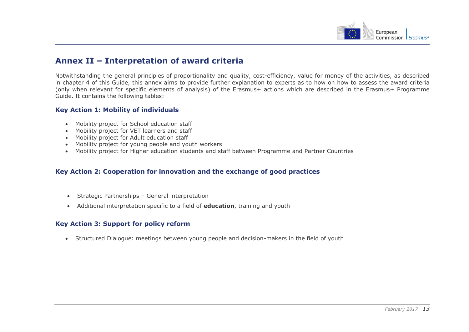

### **Annex II – Interpretation of award criteria**

Notwithstanding the general principles of proportionality and quality, cost-efficiency, value for money of the activities, as described in chapter 4 of this Guide, this annex aims to provide further explanation to experts as to how on how to assess the award criteria (only when relevant for specific elements of analysis) of the Erasmus+ actions which are described in the Erasmus+ Programme Guide. It contains the following tables:

#### **Key Action 1: Mobility of individuals**

- Mobility project for School education staff
- Mobility project for VET learners and staff
- Mobility project for Adult education staff
- Mobility project for young people and youth workers
- Mobility project for Higher education students and staff between Programme and Partner Countries

### **Key Action 2: Cooperation for innovation and the exchange of good practices**

- <span id="page-13-0"></span>Strategic Partnerships – General interpretation
- Additional interpretation specific to a field of **education**, training and youth

#### **Key Action 3: Support for policy reform**

<span id="page-13-1"></span>Structured Dialogue: meetings between young people and decision-makers in the field of youth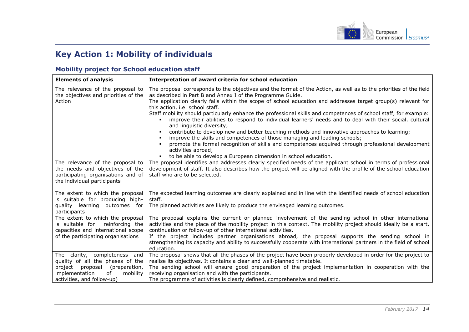

## **Key Action 1: Mobility of individuals**

### **Mobility project for School education staff**

<span id="page-14-0"></span>

| <b>Elements of analysis</b>                                                                                                                                                 | Interpretation of award criteria for school education                                                                                                                                                                                                                                                                                                                                                                                                                                                                                                                                                                                                                                                                                                                                                                                                                                                                                                                                |
|-----------------------------------------------------------------------------------------------------------------------------------------------------------------------------|--------------------------------------------------------------------------------------------------------------------------------------------------------------------------------------------------------------------------------------------------------------------------------------------------------------------------------------------------------------------------------------------------------------------------------------------------------------------------------------------------------------------------------------------------------------------------------------------------------------------------------------------------------------------------------------------------------------------------------------------------------------------------------------------------------------------------------------------------------------------------------------------------------------------------------------------------------------------------------------|
| The relevance of the proposal to<br>the objectives and priorities of the<br>Action                                                                                          | The proposal corresponds to the objectives and the format of the Action, as well as to the priorities of the field<br>as described in Part B and Annex I of the Programme Guide.<br>The application clearly falls within the scope of school education and addresses target group(s) relevant for<br>this action, i.e. school staff.<br>Staff mobility should particularly enhance the professional skills and competences of school staff, for example:<br>improve their abilities to respond to individual learners' needs and to deal with their social, cultural<br>and linguistic diversity;<br>contribute to develop new and better teaching methods and innovative approaches to learning;<br>٠<br>improve the skills and competences of those managing and leading schools;<br>promote the formal recognition of skills and competences acquired through professional development<br>activities abroad;<br>• to be able to develop a European dimension in school education. |
| The relevance of the proposal to<br>the needs and objectives of the<br>participating organisations and of<br>the individual participants                                    | The proposal identifies and addresses clearly specified needs of the applicant school in terms of professional<br>development of staff. It also describes how the project will be aligned with the profile of the school education<br>staff who are to be selected.                                                                                                                                                                                                                                                                                                                                                                                                                                                                                                                                                                                                                                                                                                                  |
| The extent to which the proposal<br>is suitable for producing high-<br>quality learning outcomes for<br>participants                                                        | The expected learning outcomes are clearly explained and in line with the identified needs of school education<br>staff.<br>The planned activities are likely to produce the envisaged learning outcomes.                                                                                                                                                                                                                                                                                                                                                                                                                                                                                                                                                                                                                                                                                                                                                                            |
| The extent to which the proposal<br>is suitable for reinforcing the<br>capacities and international scope<br>of the participating organisations                             | The proposal explains the current or planned involvement of the sending school in other international<br>activities and the place of the mobility project in this context. The mobility project should ideally be a start,<br>continuation or follow-up of other international activities.<br>If the project includes partner organisations abroad, the proposal supports the sending school in<br>strengthening its capacity and ability to successfully cooperate with international partners in the field of school<br>education.                                                                                                                                                                                                                                                                                                                                                                                                                                                 |
| The clarity, completeness and<br>quality of all the phases of the<br>proposal<br>(preparation,<br>project<br>implementation<br>of<br>mobility<br>activities, and follow-up) | The proposal shows that all the phases of the project have been properly developed in order for the project to<br>realise its objectives. It contains a clear and well-planned timetable.<br>The sending school will ensure good preparation of the project implementation in cooperation with the<br>receiving organisation and with the participants.<br>The programme of activities is clearly defined, comprehensive and realistic.                                                                                                                                                                                                                                                                                                                                                                                                                                                                                                                                              |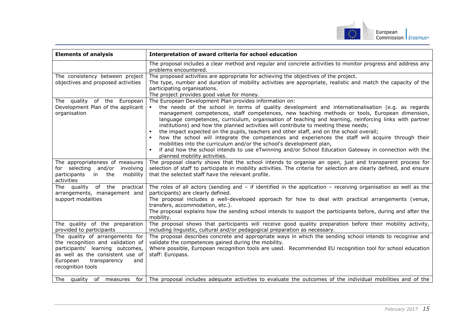

| <b>Elements of analysis</b>                                                                                                                                                                                                                                        | Interpretation of award criteria for school education                                                                                                                                                                                                                                                                                                                                                                                                                                                                                                                                                                                                                                                                                                                                                                                                                                               |
|--------------------------------------------------------------------------------------------------------------------------------------------------------------------------------------------------------------------------------------------------------------------|-----------------------------------------------------------------------------------------------------------------------------------------------------------------------------------------------------------------------------------------------------------------------------------------------------------------------------------------------------------------------------------------------------------------------------------------------------------------------------------------------------------------------------------------------------------------------------------------------------------------------------------------------------------------------------------------------------------------------------------------------------------------------------------------------------------------------------------------------------------------------------------------------------|
|                                                                                                                                                                                                                                                                    | The proposal includes a clear method and regular and concrete activities to monitor progress and address any<br>problems encountered.                                                                                                                                                                                                                                                                                                                                                                                                                                                                                                                                                                                                                                                                                                                                                               |
| The consistency between project<br>objectives and proposed activities                                                                                                                                                                                              | The proposed activities are appropriate for achieving the objectives of the project.<br>The type, number and duration of mobility activities are appropriate, realistic and match the capacity of the<br>participating organisations.<br>The project provides good value for money.                                                                                                                                                                                                                                                                                                                                                                                                                                                                                                                                                                                                                 |
| The quality of the European<br>Development Plan of the applicant<br>organisation                                                                                                                                                                                   | The European Development Plan provides information on:<br>the needs of the school in terms of quality development and internationalisation (e.g. as regards<br>$\blacksquare$<br>management competences, staff competences, new teaching methods or tools, European dimension,<br>language competences, curriculum, organisation of teaching and learning, reinforcing links with partner<br>institutions) and how the planned activities will contribute to meeting these needs;<br>the impact expected on the pupils, teachers and other staff, and on the school overall;<br>how the school will integrate the competences and experiences the staff will acquire through their<br>mobilities into the curriculum and/or the school's development plan,<br>if and how the school intends to use eTwinning and/or School Education Gateway in connection with the<br>planned mobility activities. |
| The appropriateness of measures<br>for selecting and/or involving<br>the<br>mobility<br>participants in<br>activities                                                                                                                                              | The proposal clearly shows that the school intends to organise an open, just and transparent process for<br>selection of staff to participate in mobility activities. The criteria for selection are clearly defined, and ensure<br>that the selected staff have the relevant profile.                                                                                                                                                                                                                                                                                                                                                                                                                                                                                                                                                                                                              |
| The quality of the practical<br>arrangements, management and<br>support modalities                                                                                                                                                                                 | The roles of all actors (sending and $-$ if identified in the application $-$ receiving organisation as well as the<br>participants) are clearly defined.<br>The proposal includes a well-developed approach for how to deal with practical arrangements (venue,<br>transfers, accommodation, etc.).<br>The proposal explains how the sending school intends to support the participants before, during and after the<br>mobility.                                                                                                                                                                                                                                                                                                                                                                                                                                                                  |
| The quality of the preparation<br>provided to participants<br>The quality of arrangements for<br>the recognition and validation of<br>participants' learning outcomes,<br>as well as the consistent use of<br>European<br>transparency<br>and<br>recognition tools | The proposal shows that participants will receive good quality preparation before their mobility activity,<br>including linguistic, cultural and/or pedagogical preparation as necessary.<br>The proposal describes concrete and appropriate ways in which the sending school intends to recognise and<br>validate the competences gained during the mobility.<br>Where possible, European recognition tools are used. Recommended EU recognition tool for school education<br>staff: Europass.                                                                                                                                                                                                                                                                                                                                                                                                     |
| The quality of measures<br>for I                                                                                                                                                                                                                                   | The proposal includes adequate activities to evaluate the outcomes of the individual mobilities and of the                                                                                                                                                                                                                                                                                                                                                                                                                                                                                                                                                                                                                                                                                                                                                                                          |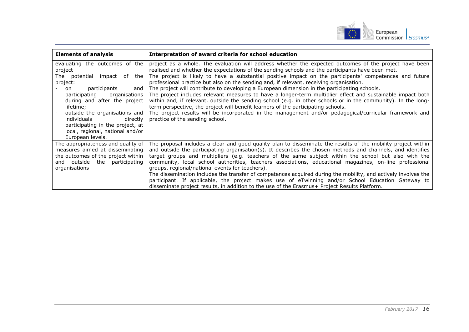

| <b>Elements of analysis</b>                                                                                                                                   | Interpretation of award criteria for school education                                                                                                                                                                                                                                                                                                                                                                                                                                              |
|---------------------------------------------------------------------------------------------------------------------------------------------------------------|----------------------------------------------------------------------------------------------------------------------------------------------------------------------------------------------------------------------------------------------------------------------------------------------------------------------------------------------------------------------------------------------------------------------------------------------------------------------------------------------------|
| evaluating the outcomes of the<br>project                                                                                                                     | project as a whole. The evaluation will address whether the expected outcomes of the project have been<br>realised and whether the expectations of the sending schools and the participants have been met.                                                                                                                                                                                                                                                                                         |
| The potential<br>the<br>impact of<br>project:                                                                                                                 | The project is likely to have a substantial positive impact on the participants' competences and future<br>professional practice but also on the sending and, if relevant, receiving organisation.                                                                                                                                                                                                                                                                                                 |
| participants<br>and<br>on<br>participating<br>organisations<br>during and after the project<br>lifetime;                                                      | The project will contribute to developing a European dimension in the participating schools.<br>The project includes relevant measures to have a longer-term multiplier effect and sustainable impact both<br>within and, if relevant, outside the sending school (e.g. in other schools or in the community). In the long-<br>term perspective, the project will benefit learners of the participating schools.                                                                                   |
| outside the organisations and<br>individuals<br>directly<br>participating in the project, at<br>local, regional, national and/or<br>European levels.          | The project results will be incorporated in the management and/or pedagogical/curricular framework and<br>practice of the sending school.                                                                                                                                                                                                                                                                                                                                                          |
| The appropriateness and quality of<br>measures aimed at disseminating<br>the outcomes of the project within<br>and outside the participating<br>organisations | The proposal includes a clear and good quality plan to disseminate the results of the mobility project within<br>and outside the participating organisation(s). It describes the chosen methods and channels, and identifies<br>target groups and multipliers (e.g. teachers of the same subject within the school but also with the<br>community, local school authorities, teachers associations, educational magazines, on-line professional<br>groups, regional/national events for teachers). |
|                                                                                                                                                               | The dissemination includes the transfer of competences acquired during the mobility, and actively involves the<br>participant. If applicable, the project makes use of eTwinning and/or School Education Gateway to<br>disseminate project results, in addition to the use of the Erasmus+ Project Results Platform.                                                                                                                                                                               |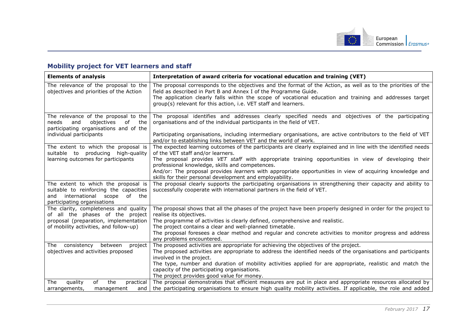

## **Mobility project for VET learners and staff**

<span id="page-17-0"></span>

| <b>Elements of analysis</b>                                                                                                                             | Interpretation of award criteria for vocational education and training (VET)                                                                                                                                                                                                                                                                                    |
|---------------------------------------------------------------------------------------------------------------------------------------------------------|-----------------------------------------------------------------------------------------------------------------------------------------------------------------------------------------------------------------------------------------------------------------------------------------------------------------------------------------------------------------|
| The relevance of the proposal to the<br>objectives and priorities of the Action                                                                         | The proposal corresponds to the objectives and the format of the Action, as well as to the priorities of the<br>field as described in Part B and Annex I of the Programme Guide.<br>The application clearly falls within the scope of vocational education and training and addresses target<br>group(s) relevant for this action, i.e. VET staff and learners. |
| The relevance of the proposal to the<br>objectives<br>and<br>of<br>the<br>needs<br>participating organisations and of the<br>individual participants    | The proposal identifies and addresses clearly specified needs and objectives of the participating<br>organisations and of the individual participants in the field of VET.<br>Participating organisations, including intermediary organisations, are active contributors to the field of VET                                                                    |
|                                                                                                                                                         | and/or to establishing links between VET and the world of work.                                                                                                                                                                                                                                                                                                 |
| The extent to which the proposal is<br>suitable to producing high-quality                                                                               | The expected learning outcomes of the participants are clearly explained and in line with the identified needs<br>of the VET staff and/or learners.                                                                                                                                                                                                             |
| learning outcomes for participants                                                                                                                      | The proposal provides VET staff with appropriate training opportunities in view of developing their<br>professional knowledge, skills and competences.                                                                                                                                                                                                          |
|                                                                                                                                                         | And/or: The proposal provides learners with appropriate opportunities in view of acquiring knowledge and<br>skills for their personal development and employability.                                                                                                                                                                                            |
| The extent to which the proposal is<br>suitable to reinforcing the capacities<br>international<br>scope<br>of the<br>and<br>participating organisations | The proposal clearly supports the participating organisations in strengthening their capacity and ability to<br>successfully cooperate with international partners in the field of VET.                                                                                                                                                                         |
| The clarity, completeness and quality<br>of all the phases of the project                                                                               | The proposal shows that all the phases of the project have been properly designed in order for the project to<br>realise its objectives.                                                                                                                                                                                                                        |
| proposal (preparation, implementation<br>of mobility activities, and follow-up)                                                                         | The programme of activities is clearly defined, comprehensive and realistic.<br>The project contains a clear and well-planned timetable.                                                                                                                                                                                                                        |
|                                                                                                                                                         | The proposal foresees a clear method and regular and concrete activities to monitor progress and address<br>any problems encountered.                                                                                                                                                                                                                           |
| consistency<br>between<br>The<br>project                                                                                                                | The proposed activities are appropriate for achieving the objectives of the project.                                                                                                                                                                                                                                                                            |
| objectives and activities proposed                                                                                                                      | The proposed activities are appropriate to address the identified needs of the organisations and participants                                                                                                                                                                                                                                                   |
|                                                                                                                                                         | involved in the project.<br>The type, number and duration of mobility activities applied for are appropriate, realistic and match the                                                                                                                                                                                                                           |
|                                                                                                                                                         | capacity of the participating organisations.                                                                                                                                                                                                                                                                                                                    |
|                                                                                                                                                         | The project provides good value for money.                                                                                                                                                                                                                                                                                                                      |
| of<br>the<br>quality<br>practical<br>The                                                                                                                | The proposal demonstrates that efficient measures are put in place and appropriate resources allocated by                                                                                                                                                                                                                                                       |
| arrangements,<br>management<br>and                                                                                                                      | the participating organisations to ensure high quality mobility activities. If applicable, the role and added                                                                                                                                                                                                                                                   |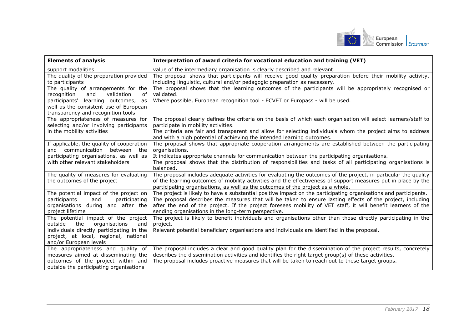

| <b>Elements of analysis</b>                                                                                                              | Interpretation of award criteria for vocational education and training (VET)                                                                                                                                                                                                                                                                                                                          |
|------------------------------------------------------------------------------------------------------------------------------------------|-------------------------------------------------------------------------------------------------------------------------------------------------------------------------------------------------------------------------------------------------------------------------------------------------------------------------------------------------------------------------------------------------------|
| support modalities                                                                                                                       | value of the intermediary organisation is clearly described and relevant.                                                                                                                                                                                                                                                                                                                             |
| The quality of the preparation provided<br>to participants                                                                               | The proposal shows that participants will receive good quality preparation before their mobility activity,<br>including linguistic, cultural and/or pedagogic preparation as necessary.                                                                                                                                                                                                               |
| The quality of arrangements for the<br>recognition<br>validation<br>and<br>οf                                                            | The proposal shows that the learning outcomes of the participants will be appropriately recognised or<br>validated.                                                                                                                                                                                                                                                                                   |
| participants' learning outcomes,<br>as<br>well as the consistent use of European                                                         | Where possible, European recognition tool - ECVET or Europass - will be used.                                                                                                                                                                                                                                                                                                                         |
| transparency and recognition tools                                                                                                       |                                                                                                                                                                                                                                                                                                                                                                                                       |
| The appropriateness of measures for<br>selecting and/or involving participants                                                           | The proposal clearly defines the criteria on the basis of which each organisation will select learners/staff to<br>participate in mobility activities.                                                                                                                                                                                                                                                |
| in the mobility activities                                                                                                               | The criteria are fair and transparent and allow for selecting individuals whom the project aims to address<br>and with a high potential of achieving the intended learning outcomes.                                                                                                                                                                                                                  |
| If applicable, the quality of cooperation<br>and communication between the                                                               | The proposal shows that appropriate cooperation arrangements are established between the participating<br>organisations.                                                                                                                                                                                                                                                                              |
| participating organisations, as well as                                                                                                  | It indicates appropriate channels for communication between the participating organisations.                                                                                                                                                                                                                                                                                                          |
| with other relevant stakeholders                                                                                                         | The proposal shows that the distribution of responsibilities and tasks of all participating organisations is<br>balanced.                                                                                                                                                                                                                                                                             |
| The quality of measures for evaluating<br>the outcomes of the project                                                                    | The proposal includes adequate activities for evaluating the outcomes of the project, in particular the quality<br>of the learning outcomes of mobility activities and the effectiveness of support measures put in place by the<br>participating organisations, as well as the outcomes of the project as a whole.                                                                                   |
| The potential impact of the project on<br>participants<br>participating<br>and<br>organisations during and after the<br>project lifetime | The project is likely to have a substantial positive impact on the participating organisations and participants.<br>The proposal describes the measures that will be taken to ensure lasting effects of the project, including<br>after the end of the project. If the project foresees mobility of VET staff, it will benefit learners of the<br>sending organisations in the long-term perspective. |
| The potential impact of the project<br>the<br>organisations<br>outside<br>and                                                            | The project is likely to benefit individuals and organisations other than those directly participating in the<br>project.                                                                                                                                                                                                                                                                             |
| individuals directly participating in the<br>project, at local, regional, national                                                       | Relevant potential beneficiary organisations and individuals are identified in the proposal.                                                                                                                                                                                                                                                                                                          |
| and/or European levels                                                                                                                   |                                                                                                                                                                                                                                                                                                                                                                                                       |
| The appropriateness and quality of                                                                                                       | The proposal includes a clear and good quality plan for the dissemination of the project results, concretely                                                                                                                                                                                                                                                                                          |
| measures aimed at disseminating the                                                                                                      | describes the dissemination activities and identifies the right target group(s) of these activities.                                                                                                                                                                                                                                                                                                  |
| outcomes of the project within and                                                                                                       | The proposal includes proactive measures that will be taken to reach out to these target groups.                                                                                                                                                                                                                                                                                                      |
| outside the participating organisations                                                                                                  |                                                                                                                                                                                                                                                                                                                                                                                                       |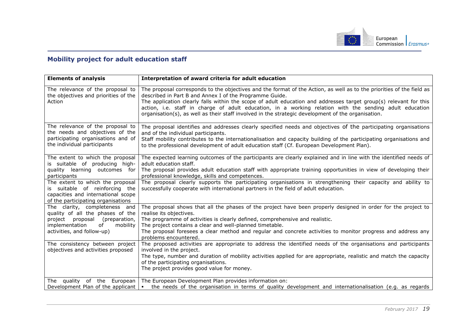

## **Mobility project for adult education staff**

<span id="page-19-0"></span>

| <b>Elements of analysis</b>                                                                                                                    | Interpretation of award criteria for adult education                                                                                                                                                                                                                                                                                                                                                                                                                                                                   |
|------------------------------------------------------------------------------------------------------------------------------------------------|------------------------------------------------------------------------------------------------------------------------------------------------------------------------------------------------------------------------------------------------------------------------------------------------------------------------------------------------------------------------------------------------------------------------------------------------------------------------------------------------------------------------|
| The relevance of the proposal to<br>the objectives and priorities of the<br>Action                                                             | The proposal corresponds to the objectives and the format of the Action, as well as to the priorities of the field as<br>described in Part B and Annex I of the Programme Guide.<br>The application clearly falls within the scope of adult education and addresses target group(s) relevant for this<br>action, i.e. staff in charge of adult education, in a working relation with the sending adult education<br>organisation(s), as well as their staff involved in the strategic development of the organisation. |
| The relevance of the proposal to<br>the needs and objectives of the<br>participating organisations and of<br>the individual participants       | The proposal identifies and addresses clearly specified needs and objectives of the participating organisations<br>and of the individual participants.<br>Staff mobility contributes to the internationalisation and capacity building of the participating organisations and<br>to the professional development of adult education staff (Cf. European Development Plan).                                                                                                                                             |
| The extent to which the proposal<br>is suitable of producing high-<br>quality learning outcomes for<br>participants                            | The expected learning outcomes of the participants are clearly explained and in line with the identified needs of<br>adult education staff.<br>The proposal provides adult education staff with appropriate training opportunities in view of developing their<br>professional knowledge, skills and competences.                                                                                                                                                                                                      |
| The extent to which the proposal<br>is suitable of reinforcing the<br>capacities and international scope<br>of the participating organisations | The proposal clearly supports the participating organisations in strengthening their capacity and ability to<br>successfully cooperate with international partners in the field of adult education.                                                                                                                                                                                                                                                                                                                    |
| The clarity, completeness and<br>quality of all the phases of the<br>(preparation,<br>project proposal<br>implementation<br>mobility<br>of     | The proposal shows that all the phases of the project have been properly designed in order for the project to<br>realise its objectives.<br>The programme of activities is clearly defined, comprehensive and realistic.<br>The project contains a clear and well-planned timetable.                                                                                                                                                                                                                                   |
| activities, and follow-up)                                                                                                                     | The proposal foresees a clear method and regular and concrete activities to monitor progress and address any<br>problems encountered.                                                                                                                                                                                                                                                                                                                                                                                  |
| The consistency between project<br>objectives and activities proposed                                                                          | The proposed activities are appropriate to address the identified needs of the organisations and participants<br>involved in the project.<br>The type, number and duration of mobility activities applied for are appropriate, realistic and match the capacity<br>of the participating organisations.<br>The project provides good value for money.                                                                                                                                                                   |
| quality of the European<br>The<br>Development Plan of the applicant                                                                            | The European Development Plan provides information on:<br>the needs of the organisation in terms of quality development and internationalisation (e.g. as regards<br>$\mathbf{m}$                                                                                                                                                                                                                                                                                                                                      |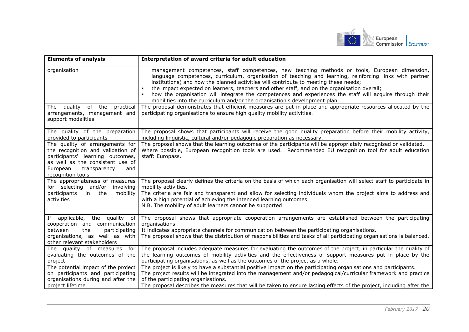

| <b>Elements of analysis</b>                                                                                                                                                                          | Interpretation of award criteria for adult education                                                                                                                                                                                                                                                                                                                                                                                                                                                                                                                                                                                                                                                                                                                                  |
|------------------------------------------------------------------------------------------------------------------------------------------------------------------------------------------------------|---------------------------------------------------------------------------------------------------------------------------------------------------------------------------------------------------------------------------------------------------------------------------------------------------------------------------------------------------------------------------------------------------------------------------------------------------------------------------------------------------------------------------------------------------------------------------------------------------------------------------------------------------------------------------------------------------------------------------------------------------------------------------------------|
| organisation<br>The quality<br>of the practical<br>arrangements, management and                                                                                                                      | management competences, staff competences, new teaching methods or tools, European dimension,<br>language competences, curriculum, organisation of teaching and learning, reinforcing links with partner<br>institutions) and how the planned activities will contribute to meeting these needs;<br>the impact expected on learners, teachers and other staff, and on the organisation overall;<br>how the organisation will integrate the competences and experiences the staff will acquire through their<br>mobilities into the curriculum and/or the organisation's development plan.<br>The proposal demonstrates that efficient measures are put in place and appropriate resources allocated by the<br>participating organisations to ensure high quality mobility activities. |
| support modalities                                                                                                                                                                                   |                                                                                                                                                                                                                                                                                                                                                                                                                                                                                                                                                                                                                                                                                                                                                                                       |
| The quality of the preparation<br>provided to participants                                                                                                                                           | The proposal shows that participants will receive the good quality preparation before their mobility activity,<br>including linguistic, cultural and/or pedagogic preparation as necessary.                                                                                                                                                                                                                                                                                                                                                                                                                                                                                                                                                                                           |
| The quality of arrangements for<br>the recognition and validation of<br>participants' learning outcomes,<br>as well as the consistent use of<br>European<br>transparency<br>and<br>recognition tools | The proposal shows that the learning outcomes of the participants will be appropriately recognised or validated.<br>Where possible, European recognition tools are used. Recommended EU recognition tool for adult education<br>staff: Europass.                                                                                                                                                                                                                                                                                                                                                                                                                                                                                                                                      |
| The appropriateness of measures<br>for selecting and/or involving<br>participants<br>in the<br>mobility<br>activities                                                                                | The proposal clearly defines the criteria on the basis of which each organisation will select staff to participate in<br>mobility activities.<br>The criteria are fair and transparent and allow for selecting individuals whom the project aims to address and<br>with a high potential of achieving the intended learning outcomes.<br>N.B. The mobility of adult learners cannot be supported.                                                                                                                                                                                                                                                                                                                                                                                     |
| If applicable, the quality of<br>cooperation and communication<br>between<br>the<br>participating<br>organisations, as well as with<br>other relevant stakeholders                                   | The proposal shows that appropriate cooperation arrangements are established between the participating<br>organisations.<br>It indicates appropriate channels for communication between the participating organisations.<br>The proposal shows that the distribution of responsibilities and tasks of all participating organisations is balanced.                                                                                                                                                                                                                                                                                                                                                                                                                                    |
| The quality of measures for<br>evaluating the outcomes of the<br>project                                                                                                                             | The proposal includes adequate measures for evaluating the outcomes of the project, in particular the quality of<br>the learning outcomes of mobility activities and the effectiveness of support measures put in place by the<br>participating organisations, as well as the outcomes of the project as a whole.                                                                                                                                                                                                                                                                                                                                                                                                                                                                     |
| The potential impact of the project<br>on participants and participating<br>organisations during and after the<br>project lifetime                                                                   | The project is likely to have a substantial positive impact on the participating organisations and participants.<br>The project results will be integrated into the management and/or pedagogical/curricular framework and practice<br>of the participating organisations.<br>The proposal describes the measures that will be taken to ensure lasting effects of the project, including after the                                                                                                                                                                                                                                                                                                                                                                                    |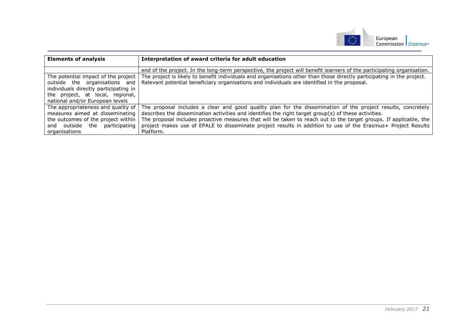

| <b>Elements of analysis</b>           | Interpretation of award criteria for adult education                                                                   |
|---------------------------------------|------------------------------------------------------------------------------------------------------------------------|
|                                       | end of the project. In the long-term perspective, the project will benefit learners of the participating organisation. |
| The potential impact of the project   | The project is likely to benefit individuals and organisations other than those directly participating in the project. |
| outside the organisations and         | Relevant potential beneficiary organisations and individuals are identified in the proposal.                           |
| individuals directly participating in |                                                                                                                        |
| the project, at local, regional,      |                                                                                                                        |
| national and/or European levels       |                                                                                                                        |
| The appropriateness and quality of    | The proposal includes a clear and good quality plan for the dissemination of the project results, concretely           |
| measures aimed at disseminating       | describes the dissemination activities and identifies the right target group(s) of these activities.                   |
| the outcomes of the project within    | The proposal includes proactive measures that will be taken to reach out to the target groups. If applicable, the      |
| and outside the<br>participating      | project makes use of EPALE to disseminate project results in addition to use of the Erasmus+ Project Results           |
| organisations                         | Platform.                                                                                                              |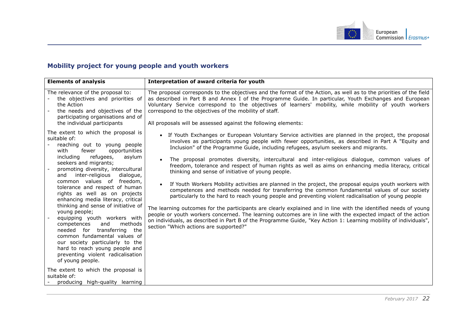

## **Mobility project for young people and youth workers**

<span id="page-22-0"></span>

| <b>Elements of analysis</b>                                                                                                                                                                                                                                                                                                                                                                                                                                                                                                                                                                                                                                                                                                                                           | Interpretation of award criteria for youth                                                                                                                                                                                                                                                                                                                                                                                                                                                                                                                                                                                                                                                                                                                                                                                                                                                                                                                                                                                                                                                                                                                                                                                                                                                                     |
|-----------------------------------------------------------------------------------------------------------------------------------------------------------------------------------------------------------------------------------------------------------------------------------------------------------------------------------------------------------------------------------------------------------------------------------------------------------------------------------------------------------------------------------------------------------------------------------------------------------------------------------------------------------------------------------------------------------------------------------------------------------------------|----------------------------------------------------------------------------------------------------------------------------------------------------------------------------------------------------------------------------------------------------------------------------------------------------------------------------------------------------------------------------------------------------------------------------------------------------------------------------------------------------------------------------------------------------------------------------------------------------------------------------------------------------------------------------------------------------------------------------------------------------------------------------------------------------------------------------------------------------------------------------------------------------------------------------------------------------------------------------------------------------------------------------------------------------------------------------------------------------------------------------------------------------------------------------------------------------------------------------------------------------------------------------------------------------------------|
| The relevance of the proposal to:<br>the objectives and priorities of<br>the Action<br>the needs and objectives of the<br>participating organisations and of<br>the individual participants                                                                                                                                                                                                                                                                                                                                                                                                                                                                                                                                                                           | The proposal corresponds to the objectives and the format of the Action, as well as to the priorities of the field<br>as described in Part B and Annex I of the Programme Guide. In particular, Youth Exchanges and European<br>Voluntary Service correspond to the objectives of learners' mobility, while mobility of youth workers<br>correspond to the objectives of the mobility of staff.<br>All proposals will be assessed against the following elements:                                                                                                                                                                                                                                                                                                                                                                                                                                                                                                                                                                                                                                                                                                                                                                                                                                              |
| The extent to which the proposal is<br>suitable of:<br>reaching out to young people<br>with<br>fewer<br>opportunities<br>including<br>refugees,<br>asylum<br>seekers and migrants;<br>promoting diversity, intercultural<br>inter-religious<br>and<br>dialogue,<br>common values of freedom,<br>tolerance and respect of human<br>rights as well as on projects<br>enhancing media literacy, critical<br>thinking and sense of initiative of<br>young people;<br>equipping youth workers with<br>methods<br>competences<br>and<br>needed for transferring<br>the<br>common fundamental values of<br>our society particularly to the<br>hard to reach young people and<br>preventing violent radicalisation<br>of young people.<br>The extent to which the proposal is | • If Youth Exchanges or European Voluntary Service activities are planned in the project, the proposal<br>involves as participants young people with fewer opportunities, as described in Part A "Equity and<br>Inclusion" of the Programme Guide, including refugees, asylum seekers and migrants.<br>The proposal promotes diversity, intercultural and inter-religious dialogue, common values of<br>$\bullet$<br>freedom, tolerance and respect of human rights as well as aims on enhancing media literacy, critical<br>thinking and sense of initiative of young people.<br>If Youth Workers Mobility activities are planned in the project, the proposal equips youth workers with<br>$\bullet$<br>competences and methods needed for transferring the common fundamental values of our society<br>particularly to the hard to reach young people and preventing violent radicalisation of young people<br>The learning outcomes for the participants are clearly explained and in line with the identified needs of young<br>people or youth workers concerned. The learning outcomes are in line with the expected impact of the action<br>on individuals, as described in Part B of the Programme Guide, "Key Action 1: Learning mobility of individuals",<br>section "Which actions are supported?" |
| suitable of:<br>producing high-quality learning                                                                                                                                                                                                                                                                                                                                                                                                                                                                                                                                                                                                                                                                                                                       |                                                                                                                                                                                                                                                                                                                                                                                                                                                                                                                                                                                                                                                                                                                                                                                                                                                                                                                                                                                                                                                                                                                                                                                                                                                                                                                |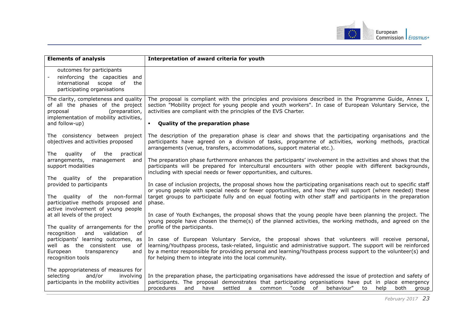

| <b>Elements of analysis</b>                                                                                                                                        | Interpretation of award criteria for youth                                                                                                                                                                                                                                                                                                                                                      |
|--------------------------------------------------------------------------------------------------------------------------------------------------------------------|-------------------------------------------------------------------------------------------------------------------------------------------------------------------------------------------------------------------------------------------------------------------------------------------------------------------------------------------------------------------------------------------------|
| outcomes for participants<br>reinforcing the capacities<br>and<br>international scope of<br>the<br>participating organisations                                     |                                                                                                                                                                                                                                                                                                                                                                                                 |
| The clarity, completeness and quality<br>of all the phases of the project<br>(preparation,<br>proposal<br>implementation of mobility activities,<br>and follow-up) | The proposal is compliant with the principles and provisions described in the Programme Guide, Annex I,<br>section "Mobility project for young people and youth workers". In case of European Voluntary Service, the<br>activities are compliant with the principles of the EVS Charter.<br>Quality of the preparation phase                                                                    |
|                                                                                                                                                                    |                                                                                                                                                                                                                                                                                                                                                                                                 |
| The consistency between project<br>objectives and activities proposed<br>quality<br>of the<br>practical<br>The                                                     | The description of the preparation phase is clear and shows that the participating organisations and the<br>participants have agreed on a division of tasks, programme of activities, working methods, practical<br>arrangements (venue, transfers, accommodations, support material etc.).                                                                                                     |
| arrangements,<br>management<br>and<br>support modalities                                                                                                           | The preparation phase furthermore enhances the participants' involvement in the activities and shows that the<br>participants will be prepared for intercultural encounters with other people with different backgrounds,<br>including with special needs or fewer opportunities, and cultures.                                                                                                 |
| The quality of the preparation<br>provided to participants<br>The quality of the non-formal                                                                        | In case of inclusion projects, the proposal shows how the participating organisations reach out to specific staff<br>or young people with special needs or fewer opportunities, and how they will support (where needed) these<br>target groups to participate fully and on equal footing with other staff and participants in the preparation                                                  |
| participative methods proposed and<br>active involvement of young people                                                                                           | phase.                                                                                                                                                                                                                                                                                                                                                                                          |
| at all levels of the project                                                                                                                                       | In case of Youth Exchanges, the proposal shows that the young people have been planning the project. The<br>young people have chosen the theme(s) of the planned activities, the working methods, and agreed on the                                                                                                                                                                             |
| The quality of arrangements for the<br>recognition<br>validation<br>and<br>of                                                                                      | profile of the participants.                                                                                                                                                                                                                                                                                                                                                                    |
| participants' learning outcomes, as<br>well as the consistent use of<br>and<br>European<br>transparency<br>recognition tools                                       | In case of European Voluntary Service, the proposal shows that volunteers will receive personal,<br>learning/Youthpass process, task-related, linguistic and administrative support. The support will be reinforced<br>by a mentor responsible for providing personal and learning/Youthpass process support to the volunteer(s) and<br>for helping them to integrate into the local community. |
| The appropriateness of measures for<br>and/or<br>selecting<br>involving<br>participants in the mobility activities                                                 | In the preparation phase, the participating organisations have addressed the issue of protection and safety of<br>participants. The proposal demonstrates that participating organisations have put in place emergency<br>procedures<br>settled a<br>"code of behaviour"<br>and<br>have<br>common<br>to<br>help<br>both<br>group                                                                |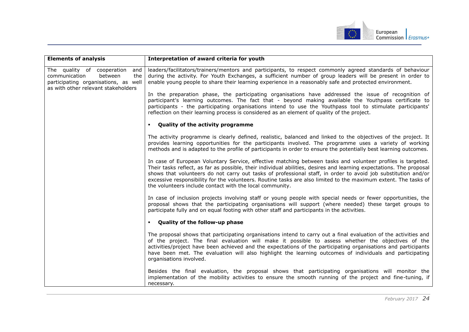

| <b>Elements of analysis</b>                                                                                                                         | Interpretation of award criteria for youth                                                                                                                                                                                                                                                                                                                                                                                                                                                                                          |
|-----------------------------------------------------------------------------------------------------------------------------------------------------|-------------------------------------------------------------------------------------------------------------------------------------------------------------------------------------------------------------------------------------------------------------------------------------------------------------------------------------------------------------------------------------------------------------------------------------------------------------------------------------------------------------------------------------|
| The quality of cooperation<br>and<br>communication<br>the<br>between<br>participating organisations, as well<br>as with other relevant stakeholders | leaders/facilitators/trainers/mentors and participants, to respect commonly agreed standards of behaviour<br>during the activity. For Youth Exchanges, a sufficient number of group leaders will be present in order to<br>enable young people to share their learning experience in a reasonably safe and protected environment.                                                                                                                                                                                                   |
|                                                                                                                                                     | In the preparation phase, the participating organisations have addressed the issue of recognition of<br>participant's learning outcomes. The fact that - beyond making available the Youthpass certificate to<br>participants - the participating organisations intend to use the Youthpass tool to stimulate participants'<br>reflection on their learning process is considered as an element of quality of the project.                                                                                                          |
|                                                                                                                                                     | <b>Quality of the activity programme</b>                                                                                                                                                                                                                                                                                                                                                                                                                                                                                            |
|                                                                                                                                                     | The activity programme is clearly defined, realistic, balanced and linked to the objectives of the project. It<br>provides learning opportunities for the participants involved. The programme uses a variety of working<br>methods and is adapted to the profile of participants in order to ensure the potentially best learning outcomes.                                                                                                                                                                                        |
|                                                                                                                                                     | In case of European Voluntary Service, effective matching between tasks and volunteer profiles is targeted.<br>Their tasks reflect, as far as possible, their individual abilities, desires and learning expectations. The proposal<br>shows that volunteers do not carry out tasks of professional staff, in order to avoid job substitution and/or<br>excessive responsibility for the volunteers. Routine tasks are also limited to the maximum extent. The tasks of<br>the volunteers include contact with the local community. |
|                                                                                                                                                     | In case of inclusion projects involving staff or young people with special needs or fewer opportunities, the<br>proposal shows that the participating organisations will support (where needed) these target groups to<br>participate fully and on equal footing with other staff and participants in the activities.                                                                                                                                                                                                               |
|                                                                                                                                                     | Quality of the follow-up phase                                                                                                                                                                                                                                                                                                                                                                                                                                                                                                      |
|                                                                                                                                                     | The proposal shows that participating organisations intend to carry out a final evaluation of the activities and<br>of the project. The final evaluation will make it possible to assess whether the objectives of the<br>activities/project have been achieved and the expectations of the participating organisations and participants<br>have been met. The evaluation will also highlight the learning outcomes of individuals and participating<br>organisations involved.                                                     |
|                                                                                                                                                     | Besides the final evaluation, the proposal shows that participating organisations will monitor the<br>implementation of the mobility activities to ensure the smooth running of the project and fine-tuning, if<br>necessary.                                                                                                                                                                                                                                                                                                       |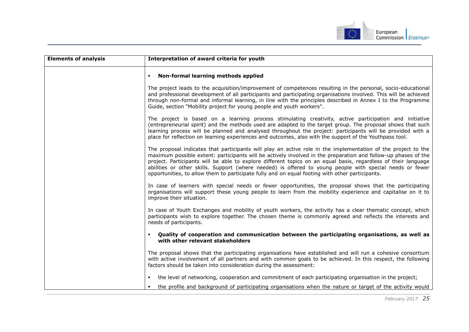

| <b>Elements of analysis</b> | Interpretation of award criteria for youth                                                                                                                                                                                                                                                                                                                                                                                                                                                                                                                       |
|-----------------------------|------------------------------------------------------------------------------------------------------------------------------------------------------------------------------------------------------------------------------------------------------------------------------------------------------------------------------------------------------------------------------------------------------------------------------------------------------------------------------------------------------------------------------------------------------------------|
|                             | Non-formal learning methods applied                                                                                                                                                                                                                                                                                                                                                                                                                                                                                                                              |
|                             | The project leads to the acquisition/improvement of competences resulting in the personal, socio-educational<br>and professional development of all participants and participating organisations involved. This will be achieved<br>through non-formal and informal learning, in line with the principles described in Annex I to the Programme<br>Guide, section "Mobility project for young people and youth workers".                                                                                                                                         |
|                             | The project is based on a learning process stimulating creativity, active participation and initiative<br>(entrepreneurial spirit) and the methods used are adapted to the target group. The proposal shows that such<br>learning process will be planned and analysed throughout the project: participants will be provided with a<br>place for reflection on learning experiences and outcomes, also with the support of the Youthpass tool.                                                                                                                   |
|                             | The proposal indicates that participants will play an active role in the implementation of the project to the<br>maximum possible extent: participants will be actively involved in the preparation and follow-up phases of the<br>project. Participants will be able to explore different topics on an equal basis, regardless of their language<br>abilities or other skills. Support (where needed) is offered to young people with special needs or fewer<br>opportunities, to allow them to participate fully and on equal footing with other participants. |
|                             | In case of learners with special needs or fewer opportunities, the proposal shows that the participating<br>organisations will support these young people to learn from the mobility experience and capitalise on it to<br>improve their situation.                                                                                                                                                                                                                                                                                                              |
|                             | In case of Youth Exchanges and mobility of youth workers, the activity has a clear thematic concept, which<br>participants wish to explore together. The chosen theme is commonly agreed and reflects the interests and<br>needs of participants.                                                                                                                                                                                                                                                                                                                |
|                             | Quality of cooperation and communication between the participating organisations, as well as<br>$\blacksquare$<br>with other relevant stakeholders                                                                                                                                                                                                                                                                                                                                                                                                               |
|                             | The proposal shows that the participating organisations have established and will run a cohesive consortium<br>with active involvement of all partners and with common goals to be achieved. In this respect, the following<br>factors should be taken into consideration during the assessment:                                                                                                                                                                                                                                                                 |
|                             | • the level of networking, cooperation and commitment of each participating organisation in the project;                                                                                                                                                                                                                                                                                                                                                                                                                                                         |
|                             | the profile and background of participating organisations when the nature or target of the activity would                                                                                                                                                                                                                                                                                                                                                                                                                                                        |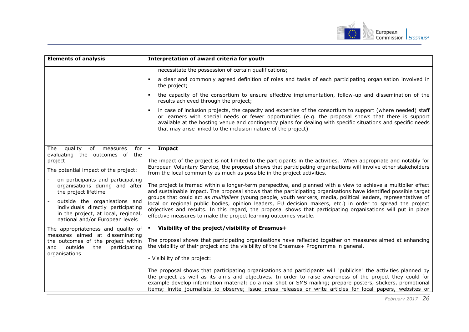

| <b>Elements of analysis</b>                                                                                                                   | Interpretation of award criteria for youth                                                                                                                                                                                                                                                                                                                                                                                                                |
|-----------------------------------------------------------------------------------------------------------------------------------------------|-----------------------------------------------------------------------------------------------------------------------------------------------------------------------------------------------------------------------------------------------------------------------------------------------------------------------------------------------------------------------------------------------------------------------------------------------------------|
|                                                                                                                                               | necessitate the possession of certain qualifications;                                                                                                                                                                                                                                                                                                                                                                                                     |
|                                                                                                                                               | a clear and commonly agreed definition of roles and tasks of each participating organisation involved in<br>the project;                                                                                                                                                                                                                                                                                                                                  |
|                                                                                                                                               | the capacity of the consortium to ensure effective implementation, follow-up and dissemination of the<br>$\blacksquare$<br>results achieved through the project;                                                                                                                                                                                                                                                                                          |
|                                                                                                                                               | in case of inclusion projects, the capacity and expertise of the consortium to support (where needed) staff<br>or learners with special needs or fewer opportunities (e.g. the proposal shows that there is support<br>available at the hosting venue and contingency plans for dealing with specific situations and specific needs<br>that may arise linked to the inclusion nature of the project)                                                      |
|                                                                                                                                               |                                                                                                                                                                                                                                                                                                                                                                                                                                                           |
| quality<br>of measures<br>for<br>The<br>evaluating the outcomes of the                                                                        | - Impact                                                                                                                                                                                                                                                                                                                                                                                                                                                  |
| project                                                                                                                                       | The impact of the project is not limited to the participants in the activities. When appropriate and notably for                                                                                                                                                                                                                                                                                                                                          |
| The potential impact of the project:                                                                                                          | European Voluntary Service, the proposal shows that participating organisations will involve other stakeholders<br>from the local community as much as possible in the project activities.                                                                                                                                                                                                                                                                |
| on participants and participating<br>organisations during and after<br>the project lifetime                                                   | The project is framed within a longer-term perspective, and planned with a view to achieve a multiplier effect<br>and sustainable impact. The proposal shows that the participating organisations have identified possible target                                                                                                                                                                                                                         |
| outside the organisations and<br>individuals directly participating<br>in the project, at local, regional,<br>national and/or European levels | groups that could act as multipliers (young people, youth workers, media, political leaders, representatives of<br>local or regional public bodies, opinion leaders, EU decision makers, etc.) in order to spread the project<br>objectives and results. In this regard, the proposal shows that participating organisations will put in place<br>effective measures to make the project learning outcomes visible.                                       |
| The appropriateness and quality of                                                                                                            | • Visibility of the project/visibility of Erasmus+                                                                                                                                                                                                                                                                                                                                                                                                        |
| measures aimed at disseminating<br>the outcomes of the project within<br>outside<br>the<br>participating<br>and                               | The proposal shows that participating organisations have reflected together on measures aimed at enhancing<br>the visibility of their project and the visibility of the Erasmus+ Programme in general.                                                                                                                                                                                                                                                    |
| organisations                                                                                                                                 | - Visibility of the project:                                                                                                                                                                                                                                                                                                                                                                                                                              |
|                                                                                                                                               | The proposal shows that participating organisations and participants will "publicise" the activities planned by<br>the project as well as its aims and objectives. In order to raise awareness of the project they could for<br>example develop information material; do a mail shot or SMS mailing; prepare posters, stickers, promotional<br>items; invite journalists to observe; issue press releases or write articles for local papers, websites or |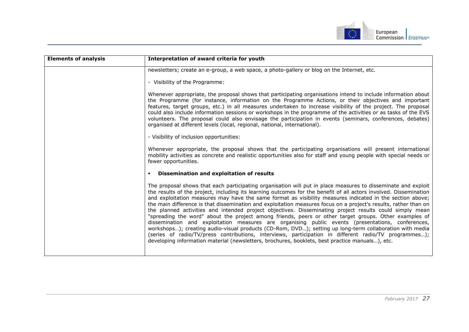

| <b>Elements of analysis</b> | Interpretation of award criteria for youth                                                                                                                                                                                                                                                                                                                                                                                                                                                                                                                                                                                                                                                                                                                                                                                                                                                                                                                                                                                                                                                                          |
|-----------------------------|---------------------------------------------------------------------------------------------------------------------------------------------------------------------------------------------------------------------------------------------------------------------------------------------------------------------------------------------------------------------------------------------------------------------------------------------------------------------------------------------------------------------------------------------------------------------------------------------------------------------------------------------------------------------------------------------------------------------------------------------------------------------------------------------------------------------------------------------------------------------------------------------------------------------------------------------------------------------------------------------------------------------------------------------------------------------------------------------------------------------|
|                             | newsletters; create an e-group, a web space, a photo-gallery or blog on the Internet, etc.                                                                                                                                                                                                                                                                                                                                                                                                                                                                                                                                                                                                                                                                                                                                                                                                                                                                                                                                                                                                                          |
|                             | - Visibility of the Programme:                                                                                                                                                                                                                                                                                                                                                                                                                                                                                                                                                                                                                                                                                                                                                                                                                                                                                                                                                                                                                                                                                      |
|                             | Whenever appropriate, the proposal shows that participating organisations intend to include information about<br>the Programme (for instance, information on the Programme Actions, or their objectives and important<br>features, target groups, etc.) in all measures undertaken to increase visibility of the project. The proposal<br>could also include information sessions or workshops in the programme of the activities or as tasks of the EVS<br>volunteers. The proposal could also envisage the participation in events (seminars, conferences, debates)<br>organised at different levels (local, regional, national, international).                                                                                                                                                                                                                                                                                                                                                                                                                                                                  |
|                             | - Visibility of inclusion opportunities:                                                                                                                                                                                                                                                                                                                                                                                                                                                                                                                                                                                                                                                                                                                                                                                                                                                                                                                                                                                                                                                                            |
|                             | Whenever appropriate, the proposal shows that the participating organisations will present international<br>mobility activities as concrete and realistic opportunities also for staff and young people with special needs or<br>fewer opportunities.                                                                                                                                                                                                                                                                                                                                                                                                                                                                                                                                                                                                                                                                                                                                                                                                                                                               |
|                             | Dissemination and exploitation of results                                                                                                                                                                                                                                                                                                                                                                                                                                                                                                                                                                                                                                                                                                                                                                                                                                                                                                                                                                                                                                                                           |
|                             | The proposal shows that each participating organisation will put in place measures to disseminate and exploit<br>the results of the project, including its learning outcomes for the benefit of all actors involved. Dissemination<br>and exploitation measures may have the same format as visibility measures indicated in the section above;<br>the main difference is that dissemination and exploitation measures focus on a project's results, rather than on<br>the planned activities and intended project objectives. Disseminating project results could simply mean<br>"spreading the word" about the project among friends, peers or other target groups. Other examples of<br>dissemination and exploitation measures are organising public events (presentations, conferences,<br>workshops); creating audio-visual products (CD-Rom, DVD); setting up long-term collaboration with media<br>(series of radio/TV/press contributions, interviews, participation in different radio/TV programmes);<br>developing information material (newsletters, brochures, booklets, best practice manuals), etc. |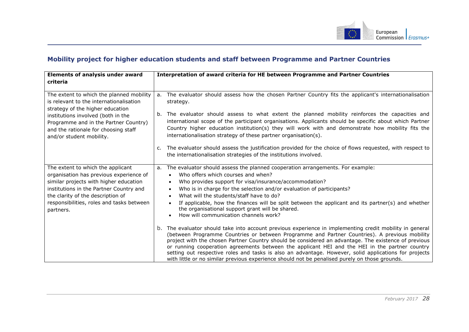

## **Mobility project for higher education students and staff between Programme and Partner Countries**

<span id="page-28-0"></span>

| <b>Elements of analysis under award</b>                                                                                                                                                                                                                          | Interpretation of award criteria for HE between Programme and Partner Countries                                                                                                                                                                                                                                                                                                                                                                                                                                                                                                                                                |
|------------------------------------------------------------------------------------------------------------------------------------------------------------------------------------------------------------------------------------------------------------------|--------------------------------------------------------------------------------------------------------------------------------------------------------------------------------------------------------------------------------------------------------------------------------------------------------------------------------------------------------------------------------------------------------------------------------------------------------------------------------------------------------------------------------------------------------------------------------------------------------------------------------|
| criteria                                                                                                                                                                                                                                                         |                                                                                                                                                                                                                                                                                                                                                                                                                                                                                                                                                                                                                                |
| The extent to which the planned mobility<br>is relevant to the internationalisation<br>strategy of the higher education                                                                                                                                          | The evaluator should assess how the chosen Partner Country fits the applicant's internationalisation<br>а.<br>strategy.                                                                                                                                                                                                                                                                                                                                                                                                                                                                                                        |
| institutions involved (both in the<br>Programme and in the Partner Country)<br>and the rationale for choosing staff<br>and/or student mobility.                                                                                                                  | The evaluator should assess to what extent the planned mobility reinforces the capacities and<br>b.<br>international scope of the participant organisations. Applicants should be specific about which Partner<br>Country higher education institution(s) they will work with and demonstrate how mobility fits the<br>internationalisation strategy of these partner organisation(s).                                                                                                                                                                                                                                         |
|                                                                                                                                                                                                                                                                  | The evaluator should assess the justification provided for the choice of flows requested, with respect to<br>C.<br>the internationalisation strategies of the institutions involved.                                                                                                                                                                                                                                                                                                                                                                                                                                           |
| The extent to which the applicant<br>organisation has previous experience of<br>similar projects with higher education<br>institutions in the Partner Country and<br>the clarity of the description of<br>responsibilities, roles and tasks between<br>partners. | The evaluator should assess the planned cooperation arrangements. For example:<br>а.<br>Who offers which courses and when?<br>Who provides support for visa/insurance/accommodation?<br>$\bullet$<br>Who is in charge for the selection and/or evaluation of participants?<br>What will the students/staff have to do?<br>If applicable, how the finances will be split between the applicant and its partner(s) and whether<br>the organisational support grant will be shared.<br>How will communication channels work?                                                                                                      |
|                                                                                                                                                                                                                                                                  | b. The evaluator should take into account previous experience in implementing credit mobility in general<br>(between Programme Countries or between Programme and Partner Countries). A previous mobility<br>project with the chosen Partner Country should be considered an advantage. The existence of previous<br>or running cooperation agreements between the applicant HEI and the HEI in the partner country<br>setting out respective roles and tasks is also an advantage. However, solid applications for projects<br>with little or no similar previous experience should not be penalised purely on those grounds. |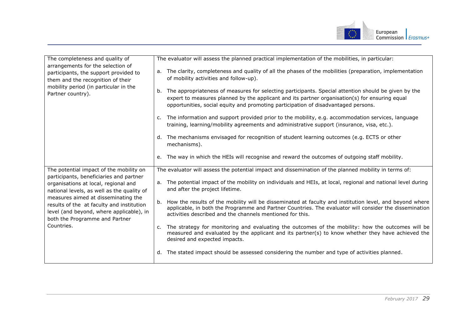

| The completeness and quality of                                                                                                                                                                                                                                                                                                                          |         | The evaluator will assess the planned practical implementation of the mobilities, in particular:                                                                                                                                                                                             |
|----------------------------------------------------------------------------------------------------------------------------------------------------------------------------------------------------------------------------------------------------------------------------------------------------------------------------------------------------------|---------|----------------------------------------------------------------------------------------------------------------------------------------------------------------------------------------------------------------------------------------------------------------------------------------------|
| arrangements for the selection of<br>participants, the support provided to<br>them and the recognition of their<br>mobility period (in particular in the<br>Partner country).                                                                                                                                                                            | а.      | The clarity, completeness and quality of all the phases of the mobilities (preparation, implementation<br>of mobility activities and follow-up).                                                                                                                                             |
|                                                                                                                                                                                                                                                                                                                                                          | b.      | The appropriateness of measures for selecting participants. Special attention should be given by the<br>expert to measures planned by the applicant and its partner organisation(s) for ensuring equal<br>opportunities, social equity and promoting participation of disadvantaged persons. |
|                                                                                                                                                                                                                                                                                                                                                          |         | c. The information and support provided prior to the mobility, e.g. accommodation services, language<br>training, learning/mobility agreements and administrative support (insurance, visa, etc.).                                                                                           |
|                                                                                                                                                                                                                                                                                                                                                          | d.      | The mechanisms envisaged for recognition of student learning outcomes (e.g. ECTS or other<br>mechanisms).                                                                                                                                                                                    |
|                                                                                                                                                                                                                                                                                                                                                          |         | e. The way in which the HEIs will recognise and reward the outcomes of outgoing staff mobility.                                                                                                                                                                                              |
| The potential impact of the mobility on<br>participants, beneficiaries and partner<br>organisations at local, regional and<br>national levels, as well as the quality of<br>measures aimed at disseminating the<br>results of the at faculty and institution<br>level (and beyond, where applicable), in<br>both the Programme and Partner<br>Countries. |         | The evaluator will assess the potential impact and dissemination of the planned mobility in terms of:                                                                                                                                                                                        |
|                                                                                                                                                                                                                                                                                                                                                          |         | a. The potential impact of the mobility on individuals and HEIs, at local, regional and national level during<br>and after the project lifetime.                                                                                                                                             |
|                                                                                                                                                                                                                                                                                                                                                          | b.      | How the results of the mobility will be disseminated at faculty and institution level, and beyond where<br>applicable, in both the Programme and Partner Countries. The evaluator will consider the dissemination<br>activities described and the channels mentioned for this.               |
|                                                                                                                                                                                                                                                                                                                                                          | $C_{1}$ | The strategy for monitoring and evaluating the outcomes of the mobility: how the outcomes will be<br>measured and evaluated by the applicant and its partner(s) to know whether they have achieved the<br>desired and expected impacts.                                                      |
|                                                                                                                                                                                                                                                                                                                                                          |         | d. The stated impact should be assessed considering the number and type of activities planned.                                                                                                                                                                                               |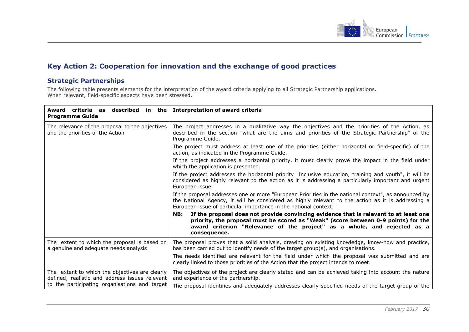

## **Key Action 2: Cooperation for innovation and the exchange of good practices**

### **Strategic Partnerships**

The following table presents elements for the interpretation of the award criteria applying to all Strategic Partnership applications. When relevant, field-specific aspects have been stressed.

<span id="page-30-1"></span><span id="page-30-0"></span>

| Award criteria as described in the Interpretation of award criteria                                                                                                                                                                                                           |
|-------------------------------------------------------------------------------------------------------------------------------------------------------------------------------------------------------------------------------------------------------------------------------|
| The project addresses in a qualitative way the objectives and the priorities of the Action, as<br>described in the section "what are the aims and priorities of the Strategic Partnership" of the<br>Programme Guide.                                                         |
| The project must address at least one of the priorities (either horizontal or field-specific) of the<br>action, as indicated in the Programme Guide.                                                                                                                          |
| If the project addresses a horizontal priority, it must clearly prove the impact in the field under<br>which the application is presented.                                                                                                                                    |
| If the project addresses the horizontal priority "Inclusive education, training and youth", it will be<br>considered as highly relevant to the action as it is addressing a particularly important and urgent<br>European issue.                                              |
| If the proposal addresses one or more "European Priorities in the national context", as announced by<br>the National Agency, it will be considered as highly relevant to the action as it is addressing a<br>European issue of particular importance in the national context. |
| NB: If the proposal does not provide convincing evidence that is relevant to at least one<br>priority, the proposal must be scored as "Weak" (score between 0-9 points) for the<br>award criterion "Relevance of the project" as a whole, and rejected as a<br>consequence.   |
| The proposal proves that a solid analysis, drawing on existing knowledge, know-how and practice,<br>has been carried out to identify needs of the target group(s), and organisations.                                                                                         |
| The needs identified are relevant for the field under which the proposal was submitted and are<br>clearly linked to those priorities of the Action that the project intends to meet.                                                                                          |
| The objectives of the project are clearly stated and can be achieved taking into account the nature<br>and experience of the partnership.<br>The proposal identifies and adequately addresses clearly specified needs of the target group of the                              |
|                                                                                                                                                                                                                                                                               |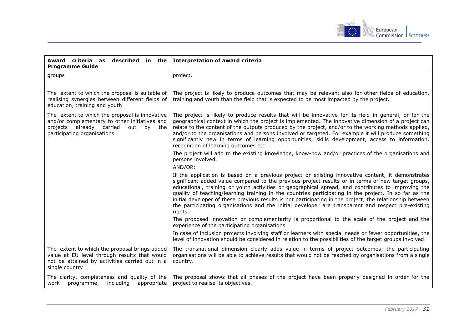

| Award criteria as<br>described in the<br><b>Programme Guide</b>                                                                                                                | <b>Interpretation of award criteria</b>                                                                                                                                                                                                                                                                                                                                                                                                                                                                                                                                                                                                              |
|--------------------------------------------------------------------------------------------------------------------------------------------------------------------------------|------------------------------------------------------------------------------------------------------------------------------------------------------------------------------------------------------------------------------------------------------------------------------------------------------------------------------------------------------------------------------------------------------------------------------------------------------------------------------------------------------------------------------------------------------------------------------------------------------------------------------------------------------|
| groups                                                                                                                                                                         | project.                                                                                                                                                                                                                                                                                                                                                                                                                                                                                                                                                                                                                                             |
| The extent to which the proposal is suitable of<br>realising synergies between different fields of<br>education, training and youth                                            | The project is likely to produce outcomes that may be relevant also for other fields of education,<br>training and youth than the field that is expected to be most impacted by the project.                                                                                                                                                                                                                                                                                                                                                                                                                                                         |
| The extent to which the proposal is innovative<br>and/or complementary to other initiatives and<br>projects already carried<br>out<br>by<br>the<br>participating organisations | The project is likely to produce results that will be innovative for its field in general, or for the<br>geographical context in which the project is implemented. The innovative dimension of a project can<br>relate to the content of the outputs produced by the project, and/or to the working methods applied,<br>and/or to the organisations and persons involved or targeted. For example it will produce something<br>significantly new in terms of learning opportunities, skills development, access to information,<br>recognition of learning outcomes etc.                                                                             |
|                                                                                                                                                                                | The project will add to the existing knowledge, know-how and/or practices of the organisations and<br>persons involved.<br>AND/OR:                                                                                                                                                                                                                                                                                                                                                                                                                                                                                                                   |
|                                                                                                                                                                                | If the application is based on a previous project or existing innovative content, it demonstrates<br>significant added value compared to the previous project results or in terms of new target groups,<br>educational, training or youth activities or geographical spread, and contributes to improving the<br>quality of teaching/learning training in the countries participating in the project. In so far as the<br>initial developer of these previous results is not participating in the project, the relationship between<br>the participating organisations and the initial developer are transparent and respect pre-existing<br>rights. |
|                                                                                                                                                                                | The proposed innovation or complementarity is proportional to the scale of the project and the<br>experience of the participating organisations.                                                                                                                                                                                                                                                                                                                                                                                                                                                                                                     |
|                                                                                                                                                                                | In case of inclusion projects involving staff or learners with special needs or fewer opportunities, the<br>level of innovation should be considered in relation to the possibilities of the target groups involved.                                                                                                                                                                                                                                                                                                                                                                                                                                 |
| The extent to which the proposal brings added<br>value at EU level through results that would<br>not be attained by activities carried out in a<br>single country              | The transnational dimension clearly adds value in terms of project outcomes; the participating<br>organisations will be able to achieve results that would not be reached by organisations from a single<br>country.                                                                                                                                                                                                                                                                                                                                                                                                                                 |
| The clarity, completeness and quality of the<br>work<br>programme, including<br>appropriate                                                                                    | The proposal shows that all phases of the project have been properly designed in order for the<br>project to realise its objectives.                                                                                                                                                                                                                                                                                                                                                                                                                                                                                                                 |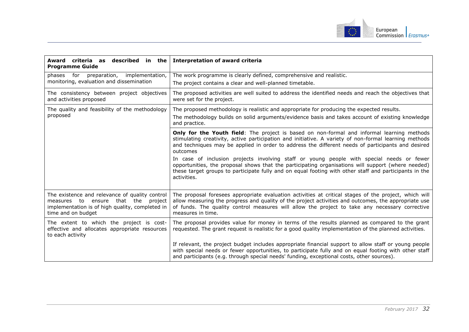

| Award criteria as<br>described in the<br><b>Programme Guide</b>                                                                                                   | <b>Interpretation of award criteria</b>                                                                                                                                                                                                                                                                                              |
|-------------------------------------------------------------------------------------------------------------------------------------------------------------------|--------------------------------------------------------------------------------------------------------------------------------------------------------------------------------------------------------------------------------------------------------------------------------------------------------------------------------------|
| phases for<br>implementation,<br>preparation,<br>monitoring, evaluation and dissemination                                                                         | The work programme is clearly defined, comprehensive and realistic.<br>The project contains a clear and well-planned timetable.                                                                                                                                                                                                      |
| The consistency between project objectives<br>and activities proposed                                                                                             | The proposed activities are well suited to address the identified needs and reach the objectives that<br>were set for the project.                                                                                                                                                                                                   |
| The quality and feasibility of the methodology<br>proposed                                                                                                        | The proposed methodology is realistic and appropriate for producing the expected results.<br>The methodology builds on solid arguments/evidence basis and takes account of existing knowledge<br>and practice.                                                                                                                       |
|                                                                                                                                                                   | Only for the Youth field: The project is based on non-formal and informal learning methods<br>stimulating creativity, active participation and initiative. A variety of non-formal learning methods<br>and techniques may be applied in order to address the different needs of participants and desired<br>outcomes                 |
|                                                                                                                                                                   | In case of inclusion projects involving staff or young people with special needs or fewer<br>opportunities, the proposal shows that the participating organisations will support (where needed)<br>these target groups to participate fully and on equal footing with other staff and participants in the<br>activities.             |
| The existence and relevance of quality control<br>that the project<br>measures to ensure<br>implementation is of high quality, completed in<br>time and on budget | The proposal foresees appropriate evaluation activities at critical stages of the project, which will<br>allow measuring the progress and quality of the project activities and outcomes, the appropriate use<br>of funds. The quality control measures will allow the project to take any necessary corrective<br>measures in time. |
| The extent to which the project is cost-<br>effective and allocates appropriate resources<br>to each activity                                                     | The proposal provides value for money in terms of the results planned as compared to the grant<br>requested. The grant request is realistic for a good quality implementation of the planned activities.                                                                                                                             |
|                                                                                                                                                                   | If relevant, the project budget includes appropriate financial support to allow staff or young people<br>with special needs or fewer opportunities, to participate fully and on equal footing with other staff<br>and participants (e.g. through special needs' funding, exceptional costs, other sources).                          |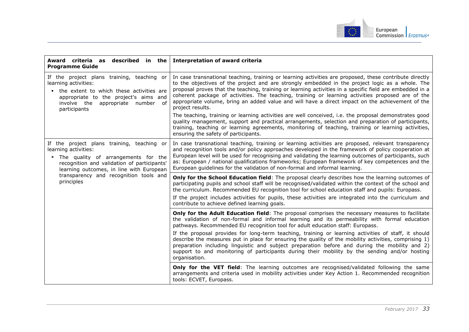

| Award criteria as described in the<br><b>Programme Guide</b>                                                                                                                                                                                                                    | <b>Interpretation of award criteria</b>                                                                                                                                                                                                                                                                                                                                                                                                                                                                                                             |
|---------------------------------------------------------------------------------------------------------------------------------------------------------------------------------------------------------------------------------------------------------------------------------|-----------------------------------------------------------------------------------------------------------------------------------------------------------------------------------------------------------------------------------------------------------------------------------------------------------------------------------------------------------------------------------------------------------------------------------------------------------------------------------------------------------------------------------------------------|
| If the project plans training, teaching or<br>learning activities:<br>the extent to which these activities are<br>appropriate to the project's aims and<br>involve the appropriate number of<br>participants                                                                    | In case transnational teaching, training or learning activities are proposed, these contribute directly<br>to the objectives of the project and are strongly embedded in the project logic as a whole. The<br>proposal proves that the teaching, training or learning activities in a specific field are embedded in a<br>coherent package of activities. The teaching, training or learning activities proposed are of the<br>appropriate volume, bring an added value and will have a direct impact on the achievement of the<br>project results. |
|                                                                                                                                                                                                                                                                                 | The teaching, training or learning activities are well conceived, i.e. the proposal demonstrates good<br>quality management, support and practical arrangements, selection and preparation of participants,<br>training, teaching or learning agreements, monitoring of teaching, training or learning activities,<br>ensuring the safety of participants.                                                                                                                                                                                          |
| If the project plans training, teaching or<br>learning activities:<br>The quality of arrangements for the<br><b>Contract</b><br>recognition and validation of participants'<br>learning outcomes, in line with European<br>transparency and recognition tools and<br>principles | In case transnational teaching, training or learning activities are proposed, relevant transparency<br>and recognition tools and/or policy approaches developed in the framework of policy cooperation at<br>European level will be used for recognising and validating the learning outcomes of participants, such<br>as: European / national qualifications frameworks; European framework of key competences and the<br>European guidelines for the validation of non-formal and informal learning.                                              |
|                                                                                                                                                                                                                                                                                 | Only for the School Education field: The proposal clearly describes how the learning outcomes of<br>participating pupils and school staff will be recognised/validated within the context of the school and<br>the curriculum. Recommended EU recognition tool for school education staff and pupils: Europass.<br>If the project includes activities for pupils, these activities are integrated into the curriculum and<br>contribute to achieve defined learning goals.                                                                          |
|                                                                                                                                                                                                                                                                                 | Only for the Adult Education field: The proposal comprises the necessary measures to facilitate<br>the validation of non-formal and informal learning and its permeability with formal education<br>pathways. Recommended EU recognition tool for adult education staff: Europass.                                                                                                                                                                                                                                                                  |
|                                                                                                                                                                                                                                                                                 | If the proposal provides for long-term teaching, training or learning activities of staff, it should<br>describe the measures put in place for ensuring the quality of the mobility activities, comprising 1)<br>preparation including linguistic and subject preparation before and during the mobility and 2)<br>support to and monitoring of participants during their mobility by the sending and/or hosting<br>organisation.                                                                                                                   |
|                                                                                                                                                                                                                                                                                 | <b>Only for the VET field:</b> The learning outcomes are recognised/validated following the same<br>arrangements and criteria used in mobility activities under Key Action 1. Recommended recognition<br>tools: ECVET, Europass.                                                                                                                                                                                                                                                                                                                    |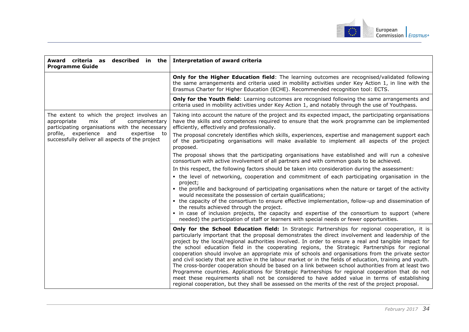

| Award criteria as described in the<br><b>Programme Guide</b>                                                                               | <b>Interpretation of award criteria</b>                                                                                                                                                                                                                                                                                                                                                                                                                                                                                                                                                                                                                                                                                                                                                                                                                                                                                                                                                                                                               |
|--------------------------------------------------------------------------------------------------------------------------------------------|-------------------------------------------------------------------------------------------------------------------------------------------------------------------------------------------------------------------------------------------------------------------------------------------------------------------------------------------------------------------------------------------------------------------------------------------------------------------------------------------------------------------------------------------------------------------------------------------------------------------------------------------------------------------------------------------------------------------------------------------------------------------------------------------------------------------------------------------------------------------------------------------------------------------------------------------------------------------------------------------------------------------------------------------------------|
|                                                                                                                                            | Only for the Higher Education field: The learning outcomes are recognised/validated following<br>the same arrangements and criteria used in mobility activities under Key Action 1, in line with the<br>Erasmus Charter for Higher Education (ECHE). Recommended recognition tool: ECTS.                                                                                                                                                                                                                                                                                                                                                                                                                                                                                                                                                                                                                                                                                                                                                              |
|                                                                                                                                            | Only for the Youth field: Learning outcomes are recognised following the same arrangements and<br>criteria used in mobility activities under Key Action 1, and notably through the use of Youthpass.                                                                                                                                                                                                                                                                                                                                                                                                                                                                                                                                                                                                                                                                                                                                                                                                                                                  |
| The extent to which the project involves an<br>appropriate<br>complementary<br>mix<br>of<br>participating organisations with the necessary | Taking into account the nature of the project and its expected impact, the participating organisations<br>have the skills and competences required to ensure that the work programme can be implemented<br>efficiently, effectively and professionally.                                                                                                                                                                                                                                                                                                                                                                                                                                                                                                                                                                                                                                                                                                                                                                                               |
| profile, experience<br>and<br>expertise to<br>successfully deliver all aspects of the project                                              | The proposal concretely identifies which skills, experiences, expertise and management support each<br>of the participating organisations will make available to implement all aspects of the project<br>proposed.                                                                                                                                                                                                                                                                                                                                                                                                                                                                                                                                                                                                                                                                                                                                                                                                                                    |
|                                                                                                                                            | The proposal shows that the participating organisations have established and will run a cohesive<br>consortium with active involvement of all partners and with common goals to be achieved.                                                                                                                                                                                                                                                                                                                                                                                                                                                                                                                                                                                                                                                                                                                                                                                                                                                          |
|                                                                                                                                            | In this respect, the following factors should be taken into consideration during the assessment:                                                                                                                                                                                                                                                                                                                                                                                                                                                                                                                                                                                                                                                                                                                                                                                                                                                                                                                                                      |
|                                                                                                                                            | • the level of networking, cooperation and commitment of each participating organisation in the<br>project;<br>• the profile and background of participating organisations when the nature or target of the activity<br>would necessitate the possession of certain qualifications;<br>• the capacity of the consortium to ensure effective implementation, follow-up and dissemination of<br>the results achieved through the project.<br>• in case of inclusion projects, the capacity and expertise of the consortium to support (where<br>needed) the participation of staff or learners with special needs or fewer opportunities.                                                                                                                                                                                                                                                                                                                                                                                                               |
|                                                                                                                                            | Only for the School Education field: In Strategic Partnerships for regional cooperation, it is<br>particularly important that the proposal demonstrates the direct involvement and leadership of the<br>project by the local/regional authorities involved. In order to ensure a real and tangible impact for<br>the school education field in the cooperating regions, the Strategic Partnerships for regional<br>cooperation should involve an appropriate mix of schools and organisations from the private sector<br>and civil society that are active in the labour market or in the fields of education, training and youth.<br>The cross-border cooperation should be based on a link between school authorities from at least two<br>Programme countries. Applications for Strategic Partnerships for regional cooperation that do not<br>meet these requirements shall not be considered to have added value in terms of establishing<br>regional cooperation, but they shall be assessed on the merits of the rest of the project proposal. |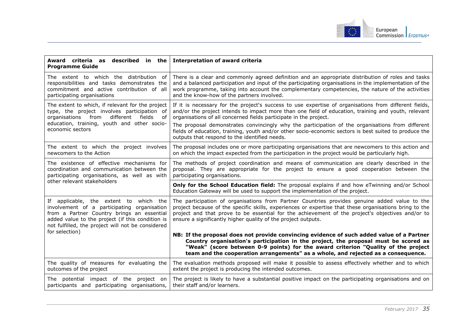

| Award criteria as described in the<br><b>Programme Guide</b>                                                                                                                                                                                                   | <b>Interpretation of award criteria</b>                                                                                                                                                                                                                                                                                                                                                                                                                                                         |
|----------------------------------------------------------------------------------------------------------------------------------------------------------------------------------------------------------------------------------------------------------------|-------------------------------------------------------------------------------------------------------------------------------------------------------------------------------------------------------------------------------------------------------------------------------------------------------------------------------------------------------------------------------------------------------------------------------------------------------------------------------------------------|
| The extent to which the distribution of<br>responsibilities and tasks demonstrates the<br>commitment and active contribution of all<br>participating organisations                                                                                             | There is a clear and commonly agreed definition and an appropriate distribution of roles and tasks<br>and a balanced participation and input of the participating organisations in the implementation of the<br>work programme, taking into account the complementary competencies, the nature of the activities<br>and the know-how of the partners involved.                                                                                                                                  |
| The extent to which, if relevant for the project<br>type, the project involves participation of<br>different<br>from<br>fields<br>organisations<br>of<br>education, training, youth and other socio-<br>economic sectors                                       | If it is necessary for the project's success to use expertise of organisations from different fields,<br>and/or the project intends to impact more than one field of education, training and youth, relevant<br>organisations of all concerned fields participate in the project.<br>The proposal demonstrates convincingly why the participation of the organisations from different<br>fields of education, training, youth and/or other socio-economic sectors is best suited to produce the |
|                                                                                                                                                                                                                                                                | outputs that respond to the identified needs.                                                                                                                                                                                                                                                                                                                                                                                                                                                   |
| The extent to which the project involves<br>newcomers to the Action                                                                                                                                                                                            | The proposal includes one or more participating organisations that are newcomers to this action and<br>on which the impact expected from the participation in the project would be particularly high.                                                                                                                                                                                                                                                                                           |
| The existence of effective mechanisms for<br>coordination and communication between the<br>participating organisations, as well as with<br>other relevant stakeholders                                                                                         | The methods of project coordination and means of communication are clearly described in the<br>proposal. They are appropriate for the project to ensure a good cooperation between the<br>participating organisations.                                                                                                                                                                                                                                                                          |
|                                                                                                                                                                                                                                                                | Only for the School Education field: The proposal explains if and how eTwinning and/or School<br>Education Gateway will be used to support the implementation of the project.                                                                                                                                                                                                                                                                                                                   |
| If applicable, the extent to which the<br>involvement of a participating organisation<br>from a Partner Country brings an essential<br>added value to the project (if this condition is<br>not fulfilled, the project will not be considered<br>for selection) | The participation of organisations from Partner Countries provides genuine added value to the<br>project because of the specific skills, experiences or expertise that these organisations bring to the<br>project and that prove to be essential for the achievement of the project's objectives and/or to<br>ensure a significantly higher quality of the project outputs.                                                                                                                    |
|                                                                                                                                                                                                                                                                | NB: If the proposal does not provide convincing evidence of such added value of a Partner<br>Country organisation's participation in the project, the proposal must be scored as<br>"Weak" (score between 0-9 points) for the award criterion "Quality of the project<br>team and the cooperation arrangements" as a whole, and rejected as a consequence.                                                                                                                                      |
| The quality of measures for evaluating the<br>outcomes of the project                                                                                                                                                                                          | The evaluation methods proposed will make it possible to assess effectively whether and to which<br>extent the project is producing the intended outcomes.                                                                                                                                                                                                                                                                                                                                      |
| The potential impact of the project on<br>participants and participating organisations,                                                                                                                                                                        | The project is likely to have a substantial positive impact on the participating organisations and on<br>their staff and/or learners.                                                                                                                                                                                                                                                                                                                                                           |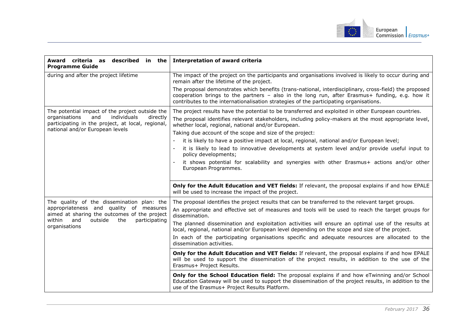

| described in the<br>Award criteria as<br><b>Programme Guide</b>                                                                                              | <b>Interpretation of award criteria</b>                                                                                                                                                                                                                                                            |
|--------------------------------------------------------------------------------------------------------------------------------------------------------------|----------------------------------------------------------------------------------------------------------------------------------------------------------------------------------------------------------------------------------------------------------------------------------------------------|
| during and after the project lifetime                                                                                                                        | The impact of the project on the participants and organisations involved is likely to occur during and<br>remain after the lifetime of the project.                                                                                                                                                |
|                                                                                                                                                              | The proposal demonstrates which benefits (trans-national, interdisciplinary, cross-field) the proposed<br>cooperation brings to the partners - also in the long run, after Erasmus+ funding, e.g. how it<br>contributes to the internationalisation strategies of the participating organisations. |
| The potential impact of the project outside the                                                                                                              | The project results have the potential to be transferred and exploited in other European countries.                                                                                                                                                                                                |
| individuals<br>organisations<br>and<br>directly<br>participating in the project, at local, regional,                                                         | The proposal identifies relevant stakeholders, including policy-makers at the most appropriate level,<br>whether local, regional, national and/or European.                                                                                                                                        |
| national and/or European levels                                                                                                                              | Taking due account of the scope and size of the project:                                                                                                                                                                                                                                           |
|                                                                                                                                                              | it is likely to have a positive impact at local, regional, national and/or European level;                                                                                                                                                                                                         |
|                                                                                                                                                              | it is likely to lead to innovative developments at system level and/or provide useful input to<br>policy developments;                                                                                                                                                                             |
|                                                                                                                                                              | it shows potential for scalability and synergies with other Erasmus+ actions and/or other<br>European Programmes.                                                                                                                                                                                  |
|                                                                                                                                                              | Only for the Adult Education and VET fields: If relevant, the proposal explains if and how EPALE<br>will be used to increase the impact of the project.                                                                                                                                            |
| The quality of the dissemination plan: the                                                                                                                   | The proposal identifies the project results that can be transferred to the relevant target groups.                                                                                                                                                                                                 |
| appropriateness and quality of measures<br>aimed at sharing the outcomes of the project<br>within<br>and<br>outside<br>the<br>participating<br>organisations | An appropriate and effective set of measures and tools will be used to reach the target groups for<br>dissemination.                                                                                                                                                                               |
|                                                                                                                                                              | The planned dissemination and exploitation activities will ensure an optimal use of the results at<br>local, regional, national and/or European level depending on the scope and size of the project.                                                                                              |
|                                                                                                                                                              | In each of the participating organisations specific and adequate resources are allocated to the<br>dissemination activities.                                                                                                                                                                       |
|                                                                                                                                                              | Only for the Adult Education and VET fields: If relevant, the proposal explains if and how EPALE<br>will be used to support the dissemination of the project results, in addition to the use of the<br>Erasmus+ Project Results.                                                                   |
|                                                                                                                                                              | Only for the School Education field: The proposal explains if and how eTwinning and/or School<br>Education Gateway will be used to support the dissemination of the project results, in addition to the<br>use of the Erasmus+ Project Results Platform.                                           |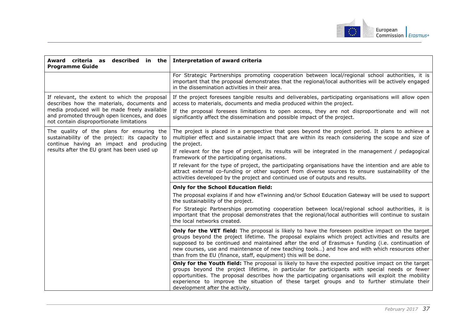

| Award criteria as described in the<br><b>Programme Guide</b>                                                                                                                                                                            | <b>Interpretation of award criteria</b>                                                                                                                                                                                                                                                                                                                                                                                                                                         |
|-----------------------------------------------------------------------------------------------------------------------------------------------------------------------------------------------------------------------------------------|---------------------------------------------------------------------------------------------------------------------------------------------------------------------------------------------------------------------------------------------------------------------------------------------------------------------------------------------------------------------------------------------------------------------------------------------------------------------------------|
|                                                                                                                                                                                                                                         | For Strategic Partnerships promoting cooperation between local/regional school authorities, it is<br>important that the proposal demonstrates that the regional/local authorities will be actively engaged<br>in the dissemination activities in their area.                                                                                                                                                                                                                    |
| If relevant, the extent to which the proposal<br>describes how the materials, documents and<br>media produced will be made freely available<br>and promoted through open licences, and does<br>not contain disproportionate limitations | If the project foresees tangible results and deliverables, participating organisations will allow open<br>access to materials, documents and media produced within the project.<br>If the proposal foresees limitations to open access, they are not disproportionate and will not<br>significantly affect the dissemination and possible impact of the project.                                                                                                                |
| The quality of the plans for ensuring the<br>sustainability of the project: its capacity to<br>continue having an impact and producing<br>results after the EU grant has been used up                                                   | The project is placed in a perspective that goes beyond the project period. It plans to achieve a<br>multiplier effect and sustainable impact that are within its reach considering the scope and size of<br>the project.                                                                                                                                                                                                                                                       |
|                                                                                                                                                                                                                                         | If relevant for the type of project, its results will be integrated in the management / pedagogical<br>framework of the participating organisations.                                                                                                                                                                                                                                                                                                                            |
|                                                                                                                                                                                                                                         | If relevant for the type of project, the participating organisations have the intention and are able to<br>attract external co-funding or other support from diverse sources to ensure sustainability of the<br>activities developed by the project and continued use of outputs and results.                                                                                                                                                                                   |
|                                                                                                                                                                                                                                         | <b>Only for the School Education field:</b>                                                                                                                                                                                                                                                                                                                                                                                                                                     |
|                                                                                                                                                                                                                                         | The proposal explains if and how eTwinning and/or School Education Gateway will be used to support<br>the sustainability of the project.                                                                                                                                                                                                                                                                                                                                        |
|                                                                                                                                                                                                                                         | For Strategic Partnerships promoting cooperation between local/regional school authorities, it is<br>important that the proposal demonstrates that the regional/local authorities will continue to sustain<br>the local networks created.                                                                                                                                                                                                                                       |
|                                                                                                                                                                                                                                         | Only for the VET field: The proposal is likely to have the foreseen positive impact on the target<br>groups beyond the project lifetime. The proposal explains which project activities and results are<br>supposed to be continued and maintained after the end of Erasmus+ funding (i.e. continuation of<br>new courses, use and maintenance of new teaching tools) and how and with which resources other<br>than from the EU (finance, staff, equipment) this will be done. |
|                                                                                                                                                                                                                                         | Only for the Youth field: The proposal is likely to have the expected positive impact on the target<br>groups beyond the project lifetime, in particular for participants with special needs or fewer<br>opportunities. The proposal describes how the participating organisations will exploit the mobility<br>experience to improve the situation of these target groups and to further stimulate their<br>development after the activity.                                    |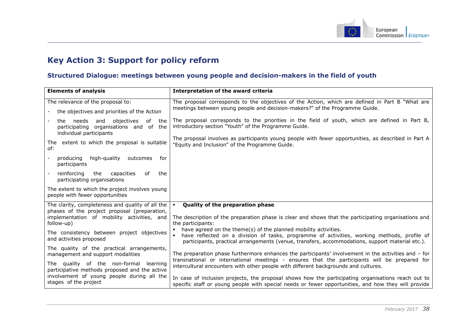

## **Key Action 3: Support for policy reform**

### **Structured Dialogue: meetings between young people and decision-makers in the field of youth**

<span id="page-38-1"></span><span id="page-38-0"></span>

| <b>Elements of analysis</b>                                                                                   | Interpretation of the award criteria                                                                                                                                                                                                                              |
|---------------------------------------------------------------------------------------------------------------|-------------------------------------------------------------------------------------------------------------------------------------------------------------------------------------------------------------------------------------------------------------------|
| The relevance of the proposal to:                                                                             | The proposal corresponds to the objectives of the Action, which are defined in Part B "What are                                                                                                                                                                   |
| the objectives and priorities of the Action                                                                   | meetings between young people and decision-makers?" of the Programme Guide.                                                                                                                                                                                       |
| needs and<br>objectives<br>the<br>of the<br>participating organisations and of the<br>individual participants | The proposal corresponds to the priorities in the field of youth, which are defined in Part B,<br>introductory section "Youth" of the Programme Guide.                                                                                                            |
| The extent to which the proposal is suitable<br>of:                                                           | The proposal involves as participants young people with fewer opportunities, as described in Part A<br>"Equity and Inclusion" of the Programme Guide.                                                                                                             |
| high-guality<br>producing<br>outcomes<br>for<br>participants                                                  |                                                                                                                                                                                                                                                                   |
| reinforcing<br>the<br>capacities<br>the<br>0f<br>participating organisations                                  |                                                                                                                                                                                                                                                                   |
| The extent to which the project involves young<br>people with fewer opportunities                             |                                                                                                                                                                                                                                                                   |
| The clarity, completeness and quality of all the                                                              | Quality of the preparation phase<br>$\mathbf{u}$ .                                                                                                                                                                                                                |
| phases of the project proposal (preparation,<br>implementation of mobility activities, and<br>follow-up)      | The description of the preparation phase is clear and shows that the participating organisations and<br>the participants:                                                                                                                                         |
| The consistency between project objectives<br>and activities proposed                                         | have agreed on the theme(s) of the planned mobility activities.<br>have reflected on a division of tasks, programme of activities, working methods, profile of<br>participants, practical arrangements (venue, transfers, accommodations, support material etc.). |
| The quality of the practical arrangements,<br>management and support modalities                               | The preparation phase furthermore enhances the participants' involvement in the activities and - for                                                                                                                                                              |
| The quality of the non-formal learning<br>participative methods proposed and the active                       | transnational or international meetings - ensures that the participants will be prepared for<br>intercultural encounters with other people with different backgrounds and cultures.                                                                               |
| involvement of young people during all the<br>stages of the project                                           | In case of inclusion projects, the proposal shows how the participating organisations reach out to<br>specific staff or young people with special needs or fewer opportunities, and how they will provide                                                         |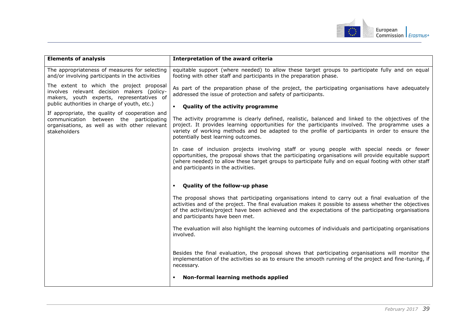

| <b>Elements of analysis</b>                                                                                                                                                                                                                                                                                                                       | Interpretation of the award criteria                                                                                                                                                                                                                                                                                                                   |
|---------------------------------------------------------------------------------------------------------------------------------------------------------------------------------------------------------------------------------------------------------------------------------------------------------------------------------------------------|--------------------------------------------------------------------------------------------------------------------------------------------------------------------------------------------------------------------------------------------------------------------------------------------------------------------------------------------------------|
| The appropriateness of measures for selecting<br>and/or involving participants in the activities                                                                                                                                                                                                                                                  | equitable support (where needed) to allow these target groups to participate fully and on equal<br>footing with other staff and participants in the preparation phase.                                                                                                                                                                                 |
| The extent to which the project proposal<br>involves relevant decision makers (policy-<br>makers, youth experts, representatives of<br>public authorities in charge of youth, etc.)<br>If appropriate, the quality of cooperation and<br>communication between the participating<br>organisations, as well as with other relevant<br>stakeholders | As part of the preparation phase of the project, the participating organisations have adequately<br>addressed the issue of protection and safety of participants.<br><b>Quality of the activity programme</b>                                                                                                                                          |
|                                                                                                                                                                                                                                                                                                                                                   | The activity programme is clearly defined, realistic, balanced and linked to the objectives of the<br>project. It provides learning opportunities for the participants involved. The programme uses a<br>variety of working methods and be adapted to the profile of participants in order to ensure the<br>potentially best learning outcomes.        |
|                                                                                                                                                                                                                                                                                                                                                   | In case of inclusion projects involving staff or young people with special needs or fewer<br>opportunities, the proposal shows that the participating organisations will provide equitable support<br>(where needed) to allow these target groups to participate fully and on equal footing with other staff<br>and participants in the activities.    |
|                                                                                                                                                                                                                                                                                                                                                   | Quality of the follow-up phase                                                                                                                                                                                                                                                                                                                         |
|                                                                                                                                                                                                                                                                                                                                                   | The proposal shows that participating organisations intend to carry out a final evaluation of the<br>activities and of the project. The final evaluation makes it possible to assess whether the objectives<br>of the activities/project have been achieved and the expectations of the participating organisations<br>and participants have been met. |
|                                                                                                                                                                                                                                                                                                                                                   | The evaluation will also highlight the learning outcomes of individuals and participating organisations<br>involved.                                                                                                                                                                                                                                   |
|                                                                                                                                                                                                                                                                                                                                                   | Besides the final evaluation, the proposal shows that participating organisations will monitor the<br>implementation of the activities so as to ensure the smooth running of the project and fine-tuning, if<br>necessary.                                                                                                                             |
|                                                                                                                                                                                                                                                                                                                                                   | Non-formal learning methods applied                                                                                                                                                                                                                                                                                                                    |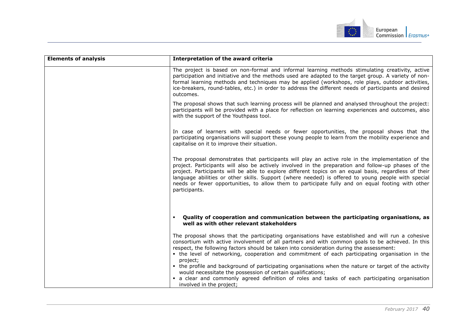

| <b>Elements of analysis</b> | Interpretation of the award criteria                                                                                                                                                                                                                                                                                                                                                                                                                                                                                                                                                    |
|-----------------------------|-----------------------------------------------------------------------------------------------------------------------------------------------------------------------------------------------------------------------------------------------------------------------------------------------------------------------------------------------------------------------------------------------------------------------------------------------------------------------------------------------------------------------------------------------------------------------------------------|
|                             | The project is based on non-formal and informal learning methods stimulating creativity, active<br>participation and initiative and the methods used are adapted to the target group. A variety of non-<br>formal learning methods and techniques may be applied (workshops, role plays, outdoor activities,<br>ice-breakers, round-tables, etc.) in order to address the different needs of participants and desired<br>outcomes.                                                                                                                                                      |
|                             | The proposal shows that such learning process will be planned and analysed throughout the project:<br>participants will be provided with a place for reflection on learning experiences and outcomes, also<br>with the support of the Youthpass tool.                                                                                                                                                                                                                                                                                                                                   |
|                             | In case of learners with special needs or fewer opportunities, the proposal shows that the<br>participating organisations will support these young people to learn from the mobility experience and<br>capitalise on it to improve their situation.                                                                                                                                                                                                                                                                                                                                     |
|                             | The proposal demonstrates that participants will play an active role in the implementation of the<br>project. Participants will also be actively involved in the preparation and follow-up phases of the<br>project. Participants will be able to explore different topics on an equal basis, regardless of their<br>language abilities or other skills. Support (where needed) is offered to young people with special<br>needs or fewer opportunities, to allow them to participate fully and on equal footing with other<br>participants.                                            |
|                             | Quality of cooperation and communication between the participating organisations, as<br>well as with other relevant stakeholders                                                                                                                                                                                                                                                                                                                                                                                                                                                        |
|                             | The proposal shows that the participating organisations have established and will run a cohesive<br>consortium with active involvement of all partners and with common goals to be achieved. In this<br>respect, the following factors should be taken into consideration during the assessment:<br>• the level of networking, cooperation and commitment of each participating organisation in the<br>project;<br>• the profile and background of participating organisations when the nature or target of the activity<br>would necessitate the possession of certain qualifications; |
|                             | • a clear and commonly agreed definition of roles and tasks of each participating organisation<br>involved in the project;                                                                                                                                                                                                                                                                                                                                                                                                                                                              |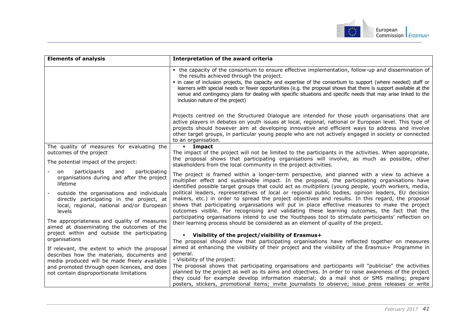

| <b>Elements of analysis</b>                                                                                                                                                                                                                                                                                                                        | Interpretation of the award criteria                                                                                                                                                                                                                                                                                                                                                                                                                                                                                                                                                                                                                                                                                                                                                                                                                                                                                          |
|----------------------------------------------------------------------------------------------------------------------------------------------------------------------------------------------------------------------------------------------------------------------------------------------------------------------------------------------------|-------------------------------------------------------------------------------------------------------------------------------------------------------------------------------------------------------------------------------------------------------------------------------------------------------------------------------------------------------------------------------------------------------------------------------------------------------------------------------------------------------------------------------------------------------------------------------------------------------------------------------------------------------------------------------------------------------------------------------------------------------------------------------------------------------------------------------------------------------------------------------------------------------------------------------|
|                                                                                                                                                                                                                                                                                                                                                    | • the capacity of the consortium to ensure effective implementation, follow-up and dissemination of<br>the results achieved through the project.<br>• in case of inclusion projects, the capacity and expertise of the consortium to support (where needed) staff or<br>learners with special needs or fewer opportunities (e.g. the proposal shows that there is support available at the<br>venue and contingency plans for dealing with specific situations and specific needs that may arise linked to the<br>inclusion nature of the project)                                                                                                                                                                                                                                                                                                                                                                            |
|                                                                                                                                                                                                                                                                                                                                                    | Projects centred on the Structured Dialogue are intended for those youth organisations that are<br>active players in debates on youth issues at local, regional, national or European level. This type of<br>projects should however aim at developing innovative and efficient ways to address and involve<br>other target groups, in particular young people who are not actively engaged in society or connected<br>to an organisation.                                                                                                                                                                                                                                                                                                                                                                                                                                                                                    |
| The quality of measures for evaluating the                                                                                                                                                                                                                                                                                                         | <b>·</b> Impact                                                                                                                                                                                                                                                                                                                                                                                                                                                                                                                                                                                                                                                                                                                                                                                                                                                                                                               |
| outcomes of the project<br>The potential impact of the project:                                                                                                                                                                                                                                                                                    | The impact of the project will not be limited to the participants in the activities. When appropriate,<br>the proposal shows that participating organisations will involve, as much as possible, other<br>stakeholders from the local community in the project activities.                                                                                                                                                                                                                                                                                                                                                                                                                                                                                                                                                                                                                                                    |
| participants<br>and<br>participating<br>on<br>organisations during and after the project<br>lifetime<br>outside the organisations and individuals<br>directly participating in the project, at<br>local, regional, national and/or European<br>levels<br>The appropriateness and quality of measures<br>aimed at disseminating the outcomes of the | The project is framed within a longer-term perspective, and planned with a view to achieve a<br>multiplier effect and sustainable impact. In the proposal, the participating organisations have<br>identified possible target groups that could act as <i>multipliers</i> (young people, youth workers, media,<br>political leaders, representatives of local or regional public bodies, opinion leaders, EU decision<br>makers, etc.) in order to spread the project objectives and results. In this regard, the proposal<br>shows that participating organisations will put in place effective measures to make the project<br>outcomes visible. For recognising and validating these learning outcomes, the fact that the<br>participating organisations intend to use the Youthpass tool to stimulate participants' reflection on<br>their learning process should be considered as an element of quality of the project. |
| project within and outside the participating                                                                                                                                                                                                                                                                                                       | • Visibility of the project/visibility of Erasmus+                                                                                                                                                                                                                                                                                                                                                                                                                                                                                                                                                                                                                                                                                                                                                                                                                                                                            |
| organisations<br>If relevant, the extent to which the proposal<br>describes how the materials, documents and<br>media produced will be made freely available<br>and promoted through open licences, and does<br>not contain disproportionate limitations                                                                                           | The proposal should show that participating organisations have reflected together on measures<br>aimed at enhancing the visibility of their project and the visibility of the Erasmus+ Programme in<br>general.<br>- Visibility of the project:<br>The proposal shows that participating organisations and participants will "publicise" the activities<br>planned by the project as well as its aims and objectives. In order to raise awareness of the project<br>they could for example develop information material; do a mail shot or SMS mailing; prepare<br>posters, stickers, promotional items; invite journalists to observe; issue press releases or write                                                                                                                                                                                                                                                         |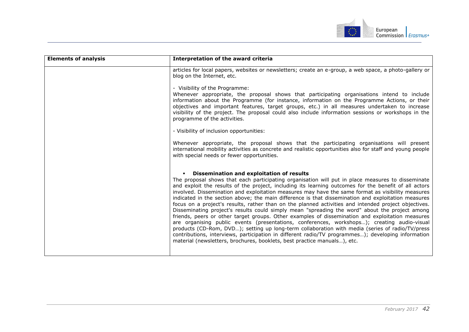

| <b>Elements of analysis</b> | Interpretation of the award criteria                                                                                                                                                                                                                                                                                                                                                                                                                                                                                                                                                                                                                                                                                                                                                                                                                                                                                                                                                                                                                                                                                                                                    |
|-----------------------------|-------------------------------------------------------------------------------------------------------------------------------------------------------------------------------------------------------------------------------------------------------------------------------------------------------------------------------------------------------------------------------------------------------------------------------------------------------------------------------------------------------------------------------------------------------------------------------------------------------------------------------------------------------------------------------------------------------------------------------------------------------------------------------------------------------------------------------------------------------------------------------------------------------------------------------------------------------------------------------------------------------------------------------------------------------------------------------------------------------------------------------------------------------------------------|
|                             | articles for local papers, websites or newsletters; create an e-group, a web space, a photo-gallery or<br>blog on the Internet, etc.                                                                                                                                                                                                                                                                                                                                                                                                                                                                                                                                                                                                                                                                                                                                                                                                                                                                                                                                                                                                                                    |
|                             | - Visibility of the Programme:<br>Whenever appropriate, the proposal shows that participating organisations intend to include<br>information about the Programme (for instance, information on the Programme Actions, or their<br>objectives and important features, target groups, etc.) in all measures undertaken to increase<br>visibility of the project. The proposal could also include information sessions or workshops in the<br>programme of the activities.                                                                                                                                                                                                                                                                                                                                                                                                                                                                                                                                                                                                                                                                                                 |
|                             | - Visibility of inclusion opportunities:                                                                                                                                                                                                                                                                                                                                                                                                                                                                                                                                                                                                                                                                                                                                                                                                                                                                                                                                                                                                                                                                                                                                |
|                             | Whenever appropriate, the proposal shows that the participating organisations will present<br>international mobility activities as concrete and realistic opportunities also for staff and young people<br>with special needs or fewer opportunities.                                                                                                                                                                                                                                                                                                                                                                                                                                                                                                                                                                                                                                                                                                                                                                                                                                                                                                                   |
|                             | • Dissemination and exploitation of results<br>The proposal shows that each participating organisation will put in place measures to disseminate<br>and exploit the results of the project, including its learning outcomes for the benefit of all actors<br>involved. Dissemination and exploitation measures may have the same format as visibility measures<br>indicated in the section above; the main difference is that dissemination and exploitation measures<br>focus on a project's results, rather than on the planned activities and intended project objectives.<br>Disseminating project's results could simply mean "spreading the word" about the project among<br>friends, peers or other target groups. Other examples of dissemination and exploitation measures<br>are organising public events (presentations, conferences, workshops); creating audio-visual<br>products (CD-Rom, DVD); setting up long-term collaboration with media (series of radio/TV/press<br>contributions, interviews, participation in different radio/TV programmes); developing information<br>material (newsletters, brochures, booklets, best practice manuals), etc. |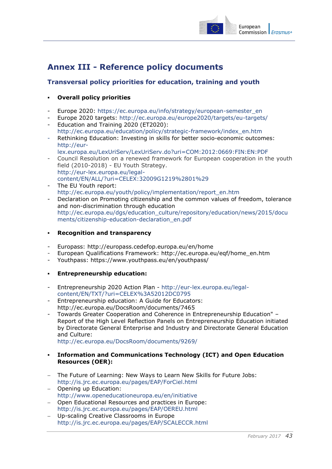

## <span id="page-43-0"></span>**Annex III - Reference policy documents**

### <span id="page-43-1"></span>**Transversal policy priorities for education, training and youth**

### **Overall policy priorities**

- Europe 2020: [https://ec.europa.eu/info/strategy/european-semester\\_en](https://ec.europa.eu/info/strategy/european-semester_en)
- Europe 2020 targets: <http://ec.europa.eu/europe2020/targets/eu-targets/>
- Education and Training 2020 (ET2020): [http://ec.europa.eu/education/policy/strategic-framework/index\\_en.htm](http://ec.europa.eu/education/policy/strategic-framework/index_en.htm)
- Rethinking Education: Investing in skills for better socio-economic outcomes: [http://eur](http://eur-lex.europa.eu/LexUriServ/LexUriServ.do?uri=COM:2012:0669:FIN:EN:PDF)[lex.europa.eu/LexUriServ/LexUriServ.do?uri=COM:2012:0669:FIN:EN:PDF](http://eur-lex.europa.eu/LexUriServ/LexUriServ.do?uri=COM:2012:0669:FIN:EN:PDF)
- Council Resolution on a renewed framework for European cooperation in the youth field (2010-2018) - EU Youth Strategy. [http://eur-lex.europa.eu/legal](http://eur-lex.europa.eu/legal-content/EN/ALL/?uri=CELEX:32009G1219%2801%29)[content/EN/ALL/?uri=CELEX:32009G1219%2801%29](http://eur-lex.europa.eu/legal-content/EN/ALL/?uri=CELEX:32009G1219%2801%29)
- The EU Youth report: [http://ec.europa.eu/youth/policy/implementation/report\\_en.htm](http://ec.europa.eu/youth/policy/implementation/report_en.htm)
- Declaration on Promoting citizenship and the common values of freedom, tolerance and non-discrimination through education [http://ec.europa.eu/dgs/education\\_culture/repository/education/news/2015/docu](http://ec.europa.eu/dgs/education_culture/repository/education/news/2015/documents/citizenship-education-declaration_en.pdf) [ments/citizenship-education-declaration\\_en.pdf](http://ec.europa.eu/dgs/education_culture/repository/education/news/2015/documents/citizenship-education-declaration_en.pdf)
- **Recognition and transparency**
- Europass: <http://europass.cedefop.europa.eu/en/home>
- European Qualifications Framework: [http://ec.europa.eu/eqf/home\\_en.htm](http://ec.europa.eu/eqf/home_en.htm)
- Youthpass:<https://www.youthpass.eu/en/youthpass/>
- **Entrepreneurship education:**
- Entrepreneurship 2020 Action Plan [http://eur-lex.europa.eu/legal](http://eur-lex.europa.eu/legal-content/EN/TXT/?uri=CELEX%3A52012DC0795)[content/EN/TXT/?uri=CELEX%3A52012DC0795](http://eur-lex.europa.eu/legal-content/EN/TXT/?uri=CELEX%3A52012DC0795)
- Entrepreneurship education: A Guide for Educators: http://ec.europa.eu/DocsRoom/documents/7465
- Towards Greater Cooperation and Coherence in Entrepreneurship Education" Report of the High Level Reflection Panels on Entrepreneurship Education initiated by Directorate General Enterprise and Industry and Directorate General Education and Culture:

<http://ec.europa.eu/DocsRoom/documents/9269/>

- **Information and Communications Technology (ICT) and Open Education Resources (OER):**
- The Future of Learning: New Ways to Learn New Skills for Future Jobs: <http://is.jrc.ec.europa.eu/pages/EAP/ForCiel.html>
- Opening up Education: <http://www.openeducationeuropa.eu/en/initiative>
- Open Educational Resources and practices in Europe: <http://is.jrc.ec.europa.eu/pages/EAP/OEREU.html>
- Up-scaling Creative Classrooms in Europe <http://is.jrc.ec.europa.eu/pages/EAP/SCALECCR.html>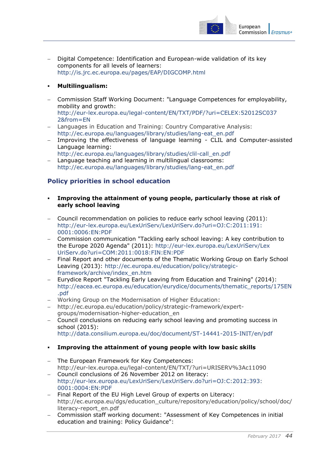

 Digital Competence: Identification and European-wide validation of its key components for all levels of learners: <http://is.jrc.ec.europa.eu/pages/EAP/DIGCOMP.html>

### **Multilingualism:**

- Commission Staff Working Document: "Language Competences for employability, mobility and growth: [http://eur-lex.europa.eu/legal-content/EN/TXT/PDF/?uri=CELEX:52012SC037](http://eur-lex.europa.eu/legal-content/EN/TXT/PDF/?uri=CELEX:52012SC0372&from=EN) [2&from=EN](http://eur-lex.europa.eu/legal-content/EN/TXT/PDF/?uri=CELEX:52012SC0372&from=EN)
- Languages in Education and Training: Country Comparative Analysis: [http://ec.europa.eu/languages/library/studies/lang-eat\\_en.pdf](http://ec.europa.eu/languages/library/studies/lang-eat_en.pdf)
- Improving the effectiveness of language learning CLIL and Computer-assisted Language learning:
	- [http://ec.europa.eu/languages/library/studies/clil-call\\_en.pdf](http://ec.europa.eu/languages/library/studies/clil-call_en.pdf)
- Language teaching and learning in multilingual classrooms: [http://ec.europa.eu/languages/library/studies/lang-eat\\_en.pdf](http://ec.europa.eu/languages/library/studies/lang-eat_en.pdf)

### <span id="page-44-0"></span>**Policy priorities in school education**

- **Improving the attainment of young people, particularly those at risk of early school leaving**
- Council recommendation on policies to reduce early school leaving (2011): [http://eur-lex.europa.eu/LexUriServ/LexUriServ.do?uri=OJ:C:2011:191:](http://eur-lex.europa.eu/LexUriServ/LexUriServ.do?uri=OJ:C:2011:191:0001:0006:EN:PDF) [0001:0006:EN:PDF](http://eur-lex.europa.eu/LexUriServ/LexUriServ.do?uri=OJ:C:2011:191:0001:0006:EN:PDF)
- Commission communication "Tackling early school leaving: A key contribution to the Europe 2020 Agenda" (2011): [http://eur-lex.europa.eu/LexUriServ/Lex](http://eur-lex.europa.eu/LexUriServ/LexUriServ.do?uri=COM:2011:0018:FIN:EN:PDF) [UriServ.do?uri=COM:2011:0018:FIN:EN:PDF](http://eur-lex.europa.eu/LexUriServ/LexUriServ.do?uri=COM:2011:0018:FIN:EN:PDF)
- Final Report and other documents of the Thematic Working Group on Early School Leaving (2013): [http://ec.europa.eu/education/policy/strategic](http://ec.europa.eu/education/policy/strategic-framework/archive/index_en.htm)[framework/archive/index\\_en.htm](http://ec.europa.eu/education/policy/strategic-framework/archive/index_en.htm)
- Eurydice Report "Tackling Early Leaving from Education and Training" (2014): [http://eacea.ec.europa.eu/education/eurydice/documents/thematic\\_reports/175EN](http://eacea.ec.europa.eu/education/eurydice/documents/thematic_reports/175EN.pdf) [.pdf](http://eacea.ec.europa.eu/education/eurydice/documents/thematic_reports/175EN.pdf)
- Working Group on the Modernisation of Higher Education:
- http://ec.europa.eu/education/policy/strategic-framework/expertgroups/modernisation-higher-education\_en
- Council conclusions on reducing early school leaving and promoting success in school (2015):
	- <http://data.consilium.europa.eu/doc/document/ST-14441-2015-INIT/en/pdf>

### **Improving the attainment of young people with low basic skills**

- The European Framework for Key Competences: http://eur-lex.europa.eu/legal-content/EN/TXT/?uri=URISERV%3Ac11090
- Council conclusions of 26 November 2012 on literacy: [http://eur-lex.europa.eu/LexUriServ/LexUriServ.do?uri=OJ:C:2012:393:](http://eur-lex.europa.eu/LexUriServ/LexUriServ.do?uri=OJ:C:2012:393:0001:0004:EN:PDF) [0001:0004:EN:PDF](http://eur-lex.europa.eu/LexUriServ/LexUriServ.do?uri=OJ:C:2012:393:0001:0004:EN:PDF)
- Final Report of the EU High Level Group of experts on Literacy: http://ec.europa.eu/dgs/education\_culture/repository/education/policy/school/doc/ literacy-report\_en.pdf
- Commission staff working document: "Assessment of Key Competences in initial education and training: Policy Guidance":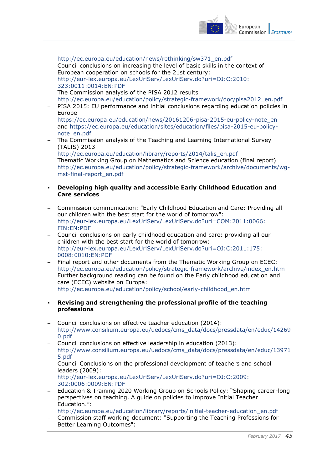

[http://ec.europa.eu/education/news/rethinking/sw371\\_en.pdf](http://ec.europa.eu/education/news/rethinking/sw371_en.pdf)

- Council conclusions on increasing the level of basic skills in the context of European cooperation on schools for the 21st century: [http://eur-lex.europa.eu/LexUriServ/LexUriServ.do?uri=OJ:C:2010:](http://eur-lex.europa.eu/LexUriServ/LexUriServ.do?uri=OJ:C:2010:323:0011:0014:EN:PDF) [323:0011:0014:EN:PDF](http://eur-lex.europa.eu/LexUriServ/LexUriServ.do?uri=OJ:C:2010:323:0011:0014:EN:PDF)
- The Commission analysis of the PISA 2012 results [http://ec.europa.eu/education/policy/strategic-framework/doc/pisa2012\\_en.pdf](http://ec.europa.eu/education/policy/strategic-framework/doc/pisa2012_en.pdf)
- PISA 2015: EU performance and initial conclusions regarding education policies in Europe

[https://ec.europa.eu/education/news/20161206-pisa-2015-eu-policy-note\\_en](https://ec.europa.eu/education/news/20161206-pisa-2015-eu-policy-note_en) and [https://ec.europa.eu/education/sites/education/files/pisa-2015-eu-policy](https://ec.europa.eu/education/sites/education/files/pisa-2015-eu-policy-note_en.pdf)[note\\_en.pdf](https://ec.europa.eu/education/sites/education/files/pisa-2015-eu-policy-note_en.pdf)

 The Commission analysis of the Teaching and Learning International Survey (TALIS) 2013

[http://ec.europa.eu/education/library/reports/2014/talis\\_en.pdf](http://ec.europa.eu/education/library/reports/2014/talis_en.pdf)

- Thematic Working Group on Mathematics and Science education (final report) [http://ec.europa.eu/education/policy/strategic-framework/archive/documents/wg](http://ec.europa.eu/education/policy/strategic-framework/archive/documents/wg-mst-final-report_en.pdf)[mst-final-report\\_en.pdf](http://ec.europa.eu/education/policy/strategic-framework/archive/documents/wg-mst-final-report_en.pdf)
- **Developing high quality and accessible Early Childhood Education and Care services**
- Commission communication: "Early Childhood Education and Care: Providing all our children with the best start for the world of tomorrow": [http://eur-lex.europa.eu/LexUriServ/LexUriServ.do?uri=COM:2011:0066:](http://eur-lex.europa.eu/LexUriServ/LexUriServ.do?uri=COM:2011:0066:FIN:EN:PDF) [FIN:EN:PDF](http://eur-lex.europa.eu/LexUriServ/LexUriServ.do?uri=COM:2011:0066:FIN:EN:PDF)
- Council conclusions on early childhood education and care: providing all our children with the best start for the world of tomorrow: [http://eur-lex.europa.eu/LexUriServ/LexUriServ.do?uri=OJ:C:2011:175:](http://eur-lex.europa.eu/LexUriServ/LexUriServ.do?uri=OJ:C:2011:175:0008:0010:EN:PDF) [0008:0010:EN:PDF](http://eur-lex.europa.eu/LexUriServ/LexUriServ.do?uri=OJ:C:2011:175:0008:0010:EN:PDF)
- Final report and other documents from the Thematic Working Group on ECEC: [http://ec.europa.eu/education/policy/strategic-framework/archive/index\\_en.htm](http://ec.europa.eu/education/policy/strategic-framework/archive/index_en.htm)
- Further background reading can be found on the Early childhood education and care (ECEC) website on Europa: [http://ec.europa.eu/education/policy/school/early-childhood\\_en.htm](http://ec.europa.eu/education/policy/school/early-childhood_en.htm)
- **Revising and strengthening the professional profile of the teaching professions**
- Council conclusions on effective teacher education (2014): [http://www.consilium.europa.eu/uedocs/cms\\_data/docs/pressdata/en/educ/14269](http://www.consilium.europa.eu/uedocs/cms_data/docs/pressdata/en/educ/142690.pdf) [0.pdf](http://www.consilium.europa.eu/uedocs/cms_data/docs/pressdata/en/educ/142690.pdf)
- Council conclusions on effective leadership in education (2013): [http://www.consilium.europa.eu/uedocs/cms\\_data/docs/pressdata/en/educ/13971](http://www.consilium.europa.eu/uedocs/cms_data/docs/pressdata/en/educ/139715.pdf) [5.pdf](http://www.consilium.europa.eu/uedocs/cms_data/docs/pressdata/en/educ/139715.pdf)
- Council Conclusions on the professional development of teachers and school leaders (2009): [http://eur-lex.europa.eu/LexUriServ/LexUriServ.do?uri=OJ:C:2009:](http://eur-lex.europa.eu/LexUriServ/LexUriServ.do?uri=OJ:C:2009:302:0006:0009:EN:PDF) [302:0006:0009:EN:PDF](http://eur-lex.europa.eu/LexUriServ/LexUriServ.do?uri=OJ:C:2009:302:0006:0009:EN:PDF)
- Education & Training 2020 Working Group on Schools Policy: "Shaping career-long perspectives on teaching. A guide on policies to improve Initial Teacher Education.":
- [http://ec.europa.eu/education/library/reports/initial-teacher-education\\_en.pdf](http://ec.europa.eu/education/library/reports/initial-teacher-education_en.pdf) Commission staff working document: "Supporting the Teaching Professions for Better Learning Outcomes":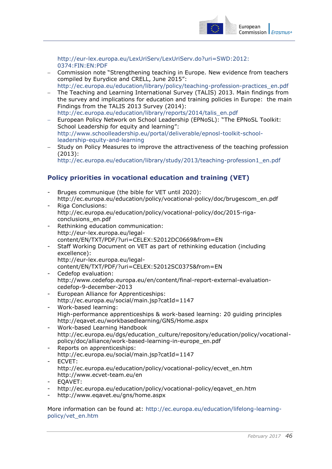

[http://eur-lex.europa.eu/LexUriServ/LexUriServ.do?uri=SWD:2012:](http://eur-lex.europa.eu/LexUriServ/LexUriServ.do?uri=SWD:2012:0374:FIN:EN:PDF) [0374:FIN:EN:PDF](http://eur-lex.europa.eu/LexUriServ/LexUriServ.do?uri=SWD:2012:0374:FIN:EN:PDF)

- Commission note "Strengthening teaching in Europe. New evidence from teachers compiled by Eurydice and CRELL, June 2015": [http://ec.europa.eu/education/library/policy/teaching-profession-practices\\_en.pdf](http://ec.europa.eu/education/library/policy/teaching-profession-practices_en.pdf)
- The Teaching and Learning International Survey (TALIS) 2013. Main findings from the survey and implications for education and training policies in Europe: the main Findings from the TALIS 2013 Survey (2014): [http://ec.europa.eu/education/library/reports/2014/talis\\_en.pdf](http://ec.europa.eu/education/library/reports/2014/talis_en.pdf)
- European Policy Network on School Leadership (EPNoSL): "The EPNoSL Toolkit: School Leadership for equity and learning": [http://www.schoolleadership.eu/portal/deliverable/epnosl-toolkit-school](http://www.schoolleadership.eu/portal/deliverable/epnosl-toolkit-school-leadership-equity-and-learning)[leadership-equity-and-learning](http://www.schoolleadership.eu/portal/deliverable/epnosl-toolkit-school-leadership-equity-and-learning)
- Study on Policy Measures to improve the attractiveness of the teaching profession (2013):

[http://ec.europa.eu/education/library/study/2013/teaching-profession1\\_en.pdf](http://ec.europa.eu/education/library/study/2013/teaching-profession1_en.pdf)

### <span id="page-46-0"></span>**Policy priorities in vocational education and training (VET)**

- Bruges communique (the bible for VET until 2020): [http://ec.europa.eu/education/policy/vocational-policy/doc/brugescom\\_en.pdf](http://ec.europa.eu/education/policy/vocational-policy/doc/brugescom_en.pdf)
- Riga Conclusions: [http://ec.europa.eu/education/policy/vocational-policy/doc/2015-riga](http://ec.europa.eu/education/policy/vocational-policy/doc/2015-riga-conclusions_en.pdf)[conclusions\\_en.pdf](http://ec.europa.eu/education/policy/vocational-policy/doc/2015-riga-conclusions_en.pdf)
- Rethinking education communication: [http://eur-lex.europa.eu/legal](http://eur-lex.europa.eu/legal-content/EN/TXT/PDF/?uri=CELEX:52012DC0669&from=EN)[content/EN/TXT/PDF/?uri=CELEX:52012DC0669&from=EN](http://eur-lex.europa.eu/legal-content/EN/TXT/PDF/?uri=CELEX:52012DC0669&from=EN)
- Staff Working Document on VET as part of rethinking education (including excellence):

[http://eur-lex.europa.eu/legal-](http://eur-lex.europa.eu/legal-content/EN/TXT/PDF/?uri=CELEX:52012SC0375&from=EN)

```
content/EN/TXT/PDF/?uri=CELEX:52012SC0375&from=EN
```
- Cedefop evaluation: [http://www.cedefop.europa.eu/en/content/final-report-external-evaluation](http://www.cedefop.europa.eu/en/content/final-report-external-evaluation-cedefop-9-december-2013)[cedefop-9-december-2013](http://www.cedefop.europa.eu/en/content/final-report-external-evaluation-cedefop-9-december-2013)
- European Alliance for Apprenticeships: <http://ec.europa.eu/social/main.jsp?catId=1147>
- Work-based learning: [High-performance apprenticeships & work-based learning: 20 guiding principles](http://ec.europa.eu/social/BlobServlet?docId=14881&langId=en) <http://eqavet.eu/workbasedlearning/GNS/Home.aspx>
- Work-based Learning Handbook [http://ec.europa.eu/dgs/education\\_culture/repository/education/policy/vocational](http://ec.europa.eu/dgs/education_culture/repository/education/policy/vocational-policy/doc/alliance/work-based-learning-in-europe_en.pdf)[policy/doc/alliance/work-based-learning-in-europe\\_en.pdf](http://ec.europa.eu/dgs/education_culture/repository/education/policy/vocational-policy/doc/alliance/work-based-learning-in-europe_en.pdf)
- Reports on apprenticeships: http://ec.europa.eu/social/main.jsp?catId=1147
- ECVET: [http://ec.europa.eu/education/policy/vocational-policy/ecvet\\_en.htm](http://ec.europa.eu/education/policy/vocational-policy/ecvet_en.htm) <http://www.ecvet-team.eu/en>
- EOAVET:
- [http://ec.europa.eu/education/policy/vocational-policy/eqavet\\_en.htm](http://ec.europa.eu/education/policy/vocational-policy/eqavet_en.htm)
- <http://www.eqavet.eu/gns/home.aspx>

#### More information can be found at: [http://ec.europa.eu/education/lifelong-learning](http://ec.europa.eu/education/lifelong-learning-policy/vet_en.htm)[policy/vet\\_en.htm](http://ec.europa.eu/education/lifelong-learning-policy/vet_en.htm)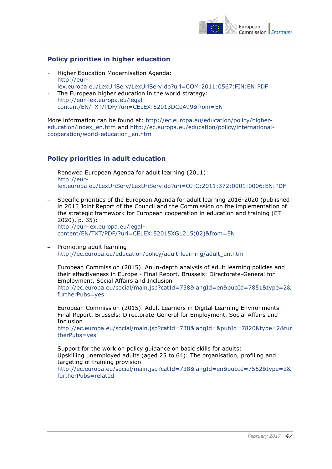

### <span id="page-47-0"></span>**Policy priorities in higher education**

- Higher Education Modernisation Agenda: [http://eur](http://eur-lex.europa.eu/LexUriServ/LexUriServ.do?uri=COM:2011:0567:FIN:EN:PDF)[lex.europa.eu/LexUriServ/LexUriServ.do?uri=COM:2011:0567:FIN:EN:PDF](http://eur-lex.europa.eu/LexUriServ/LexUriServ.do?uri=COM:2011:0567:FIN:EN:PDF)
- The European higher education in the world strategy: [http://eur-lex.europa.eu/legal](http://eur-lex.europa.eu/legal-content/EN/TXT/PDF/?uri=CELEX:52013DC0499&from=EN)[content/EN/TXT/PDF/?uri=CELEX:52013DC0499&from=EN](http://eur-lex.europa.eu/legal-content/EN/TXT/PDF/?uri=CELEX:52013DC0499&from=EN)

More information can be found at: [http://ec.europa.eu/education/policy/higher](http://ec.europa.eu/education/policy/higher-education/index_en.htm)[education/index\\_en.htm](http://ec.europa.eu/education/policy/higher-education/index_en.htm) and [http://ec.europa.eu/education/policy/international](http://ec.europa.eu/education/policy/international-cooperation/world-education_en.htm)[cooperation/world-education\\_en.htm](http://ec.europa.eu/education/policy/international-cooperation/world-education_en.htm)

### <span id="page-47-1"></span>**Policy priorities in adult education**

- Renewed European Agenda for adult learning (2011): [http://eur](http://eur-lex.europa.eu/LexUriServ/LexUriServ.do?uri=OJ:C:2011:372:0001:0006:EN:PDF)[lex.europa.eu/LexUriServ/LexUriServ.do?uri=OJ:C:2011:372:0001:0006:EN:PDF](http://eur-lex.europa.eu/LexUriServ/LexUriServ.do?uri=OJ:C:2011:372:0001:0006:EN:PDF)
- Specific priorities of the European Agenda for adult learning 2016-2020 (published in 2015 Joint Report of the Council and the Commission on the implementation of the strategic framework for European cooperation in education and training (ET 2020), p. 35): [http://eur-lex.europa.eu/legal](http://eur-lex.europa.eu/legal-content/EN/TXT/PDF/?uri=CELEX:52015XG1215(02)&from=EN)[content/EN/TXT/PDF/?uri=CELEX:52015XG1215\(02\)&from=EN](http://eur-lex.europa.eu/legal-content/EN/TXT/PDF/?uri=CELEX:52015XG1215(02)&from=EN)
- Promoting adult learning: [http://ec.europa.eu/education/policy/adult-learning/adult\\_en.htm](http://ec.europa.eu/education/policy/adult-learning/adult_en.htm)

European Commission (2015). An in-depth analysis of adult learning policies and their effectiveness in Europe - Final Report. Brussels: Directorate-General for Employment, Social Affairs and Inclusion [http://ec.europa.eu/social/main.jsp?catId=738&langId=en&pubId=7851&type=2&](http://ec.europa.eu/social/main.jsp?catId=738&langId=en&pubId=7851&type=2&furtherPubs=yes) [furtherPubs=yes](http://ec.europa.eu/social/main.jsp?catId=738&langId=en&pubId=7851&type=2&furtherPubs=yes)

European Commission (2015). Adult Learners in Digital Learning Environments - Final Report. Brussels: Directorate-General for Employment, Social Affairs and **Inclusion** [http://ec.europa.eu/social/main.jsp?catId=738&langId=&pubId=7820&type=2&fur](http://ec.europa.eu/social/main.jsp?catId=738&langId=&pubId=7820&type=2&furtherPubs=yes) [therPubs=yes](http://ec.europa.eu/social/main.jsp?catId=738&langId=&pubId=7820&type=2&furtherPubs=yes)

 Support for the work on policy guidance on basic skills for adults: Upskilling unemployed adults (aged 25 to 64): The organisation, profiling and targeting of training provision [http://ec.europa.eu/social/main.jsp?catId=738&langId=en&pubId=7552&type=2&](http://ec.europa.eu/social/main.jsp?catId=738&langId=en&pubId=7552&type=2&furtherPubs=related) [furtherPubs=related](http://ec.europa.eu/social/main.jsp?catId=738&langId=en&pubId=7552&type=2&furtherPubs=related)